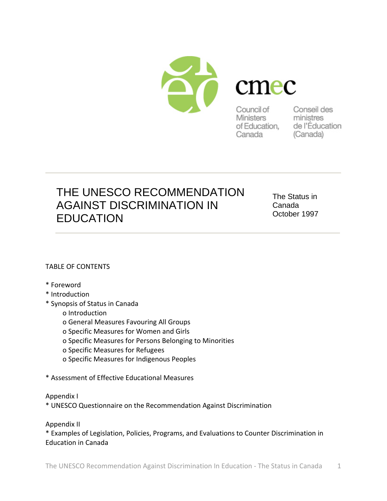

Canada

ministres of Education, de l'Éducation (Canada)

# THE UNESCO RECOMMENDATION AGAINST DISCRIMINATION IN **EDUCATION**

The Status in Canada October 1997

## TABLE OF CONTENTS

- \* Foreword
- \* Introduction
- \* Synopsis of Status in Canada
	- o Introduction
	- o General Measures Favouring All Groups
	- o Specific Measures for Women and Girls
	- o Specific Measures for Persons Belonging to Minorities
	- o Specific Measures for Refugees
	- o Specific Measures for Indigenous Peoples
- \* Assessment of Effective Educational Measures
- Appendix I
- \* UNESCO Questionnaire on the Recommendation Against Discrimination

Appendix II

\* Examples of Legislation, Policies, Programs, and Evaluations to Counter Discrimination in Education in Canada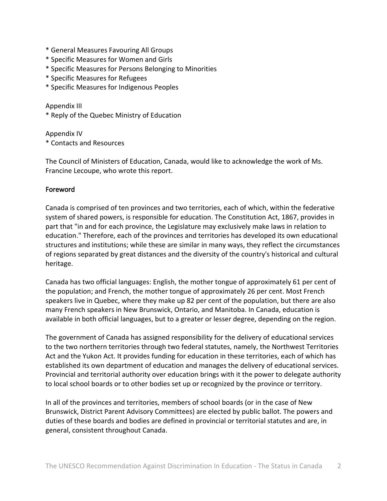- \* General Measures Favouring All Groups
- \* Specific Measures for Women and Girls
- \* Specific Measures for Persons Belonging to Minorities
- \* Specific Measures for Refugees
- \* Specific Measures for Indigenous Peoples

Appendix III

\* Reply of the Quebec Ministry of Education

Appendix IV \* Contacts and Resources

The Council of Ministers of Education, Canada, would like to acknowledge the work of Ms. Francine Lecoupe, who wrote this report.

## Foreword

Canada is comprised of ten provinces and two territories, each of which, within the federative system of shared powers, is responsible for education. The Constitution Act, 1867, provides in part that "in and for each province, the Legislature may exclusively make laws in relation to education." Therefore, each of the provinces and territories has developed its own educational structures and institutions; while these are similar in many ways, they reflect the circumstances of regions separated by great distances and the diversity of the country's historical and cultural heritage.

Canada has two official languages: English, the mother tongue of approximately 61 per cent of the population; and French, the mother tongue of approximately 26 per cent. Most French speakers live in Quebec, where they make up 82 per cent of the population, but there are also many French speakers in New Brunswick, Ontario, and Manitoba. In Canada, education is available in both official languages, but to a greater or lesser degree, depending on the region.

The government of Canada has assigned responsibility for the delivery of educational services to the two northern territories through two federal statutes, namely, the Northwest Territories Act and the Yukon Act. It provides funding for education in these territories, each of which has established its own department of education and manages the delivery of educational services. Provincial and territorial authority over education brings with it the power to delegate authority to local school boards or to other bodies set up or recognized by the province or territory.

In all of the provinces and territories, members of school boards (or in the case of New Brunswick, District Parent Advisory Committees) are elected by public ballot. The powers and duties of these boards and bodies are defined in provincial or territorial statutes and are, in general, consistent throughout Canada.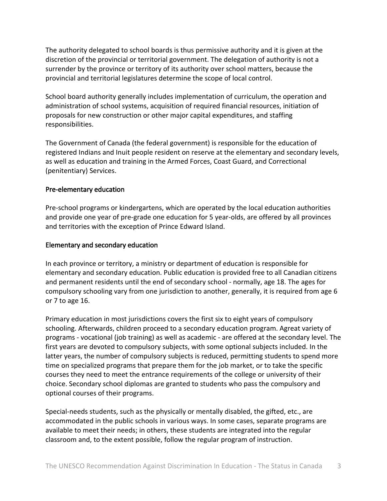The authority delegated to school boards is thus permissive authority and it is given at the discretion of the provincial or territorial government. The delegation of authority is not a surrender by the province or territory of its authority over school matters, because the provincial and territorial legislatures determine the scope of local control.

School board authority generally includes implementation of curriculum, the operation and administration of school systems, acquisition of required financial resources, initiation of proposals for new construction or other major capital expenditures, and staffing responsibilities.

The Government of Canada (the federal government) is responsible for the education of registered Indians and Inuit people resident on reserve at the elementary and secondary levels, as well as education and training in the Armed Forces, Coast Guard, and Correctional (penitentiary) Services.

## Pre‐elementary education

Pre‐school programs or kindergartens, which are operated by the local education authorities and provide one year of pre-grade one education for 5 year-olds, are offered by all provinces and territories with the exception of Prince Edward Island.

## Elementary and secondary education

In each province or territory, a ministry or department of education is responsible for elementary and secondary education. Public education is provided free to all Canadian citizens and permanent residents until the end of secondary school ‐ normally, age 18. The ages for compulsory schooling vary from one jurisdiction to another, generally, it is required from age 6 or 7 to age 16.

Primary education in most jurisdictions covers the first six to eight years of compulsory schooling. Afterwards, children proceed to a secondary education program. Agreat variety of programs ‐ vocational (job training) as well as academic ‐ are offered at the secondary level. The first years are devoted to compulsory subjects, with some optional subjects included. In the latter years, the number of compulsory subjects is reduced, permitting students to spend more time on specialized programs that prepare them for the job market, or to take the specific courses they need to meet the entrance requirements of the college or university of their choice. Secondary school diplomas are granted to students who pass the compulsory and optional courses of their programs.

Special‐needs students, such as the physically or mentally disabled, the gifted, etc., are accommodated in the public schools in various ways. In some cases, separate programs are available to meet their needs; in others, these students are integrated into the regular classroom and, to the extent possible, follow the regular program of instruction.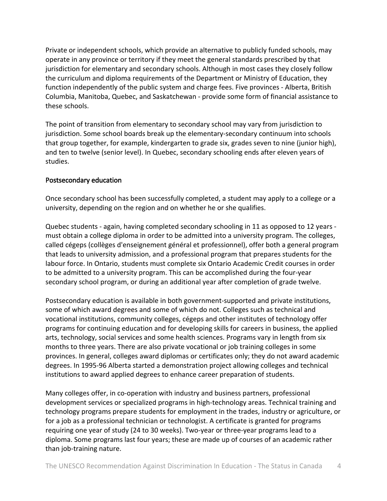Private or independent schools, which provide an alternative to publicly funded schools, may operate in any province or territory if they meet the general standards prescribed by that jurisdiction for elementary and secondary schools. Although in most cases they closely follow the curriculum and diploma requirements of the Department or Ministry of Education, they function independently of the public system and charge fees. Five provinces - Alberta, British Columbia, Manitoba, Quebec, and Saskatchewan ‐ provide some form of financial assistance to these schools.

The point of transition from elementary to secondary school may vary from jurisdiction to jurisdiction. Some school boards break up the elementary‐secondary continuum into schools that group together, for example, kindergarten to grade six, grades seven to nine (junior high), and ten to twelve (senior level). In Quebec, secondary schooling ends after eleven years of studies.

## Postsecondary education

Once secondary school has been successfully completed, a student may apply to a college or a university, depending on the region and on whether he or she qualifies.

Quebec students ‐ again, having completed secondary schooling in 11 as opposed to 12 years ‐ must obtain a college diploma in order to be admitted into a university program. The colleges, called cégeps (collèges d'enseignement général et professionnel), offer both a general program that leads to university admission, and a professional program that prepares students for the labour force. In Ontario, students must complete six Ontario Academic Credit courses in order to be admitted to a university program. This can be accomplished during the four‐year secondary school program, or during an additional year after completion of grade twelve.

Postsecondary education is available in both government‐supported and private institutions, some of which award degrees and some of which do not. Colleges such as technical and vocational institutions, community colleges, cégeps and other institutes of technology offer programs for continuing education and for developing skills for careers in business, the applied arts, technology, social services and some health sciences. Programs vary in length from six months to three years. There are also private vocational or job training colleges in some provinces. In general, colleges award diplomas or certificates only; they do not award academic degrees. In 1995‐96 Alberta started a demonstration project allowing colleges and technical institutions to award applied degrees to enhance career preparation of students.

Many colleges offer, in co-operation with industry and business partners, professional development services or specialized programs in high‐technology areas. Technical training and technology programs prepare students for employment in the trades, industry or agriculture, or for a job as a professional technician or technologist. A certificate is granted for programs requiring one year of study (24 to 30 weeks). Two‐year or three‐year programs lead to a diploma. Some programs last four years; these are made up of courses of an academic rather than job‐training nature.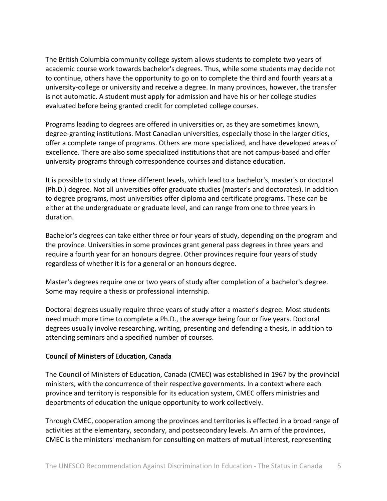The British Columbia community college system allows students to complete two years of academic course work towards bachelor's degrees. Thus, while some students may decide not to continue, others have the opportunity to go on to complete the third and fourth years at a university‐college or university and receive a degree. In many provinces, however, the transfer is not automatic. A student must apply for admission and have his or her college studies evaluated before being granted credit for completed college courses.

Programs leading to degrees are offered in universities or, as they are sometimes known, degree‐granting institutions. Most Canadian universities, especially those in the larger cities, offer a complete range of programs. Others are more specialized, and have developed areas of excellence. There are also some specialized institutions that are not campus‐based and offer university programs through correspondence courses and distance education.

It is possible to study at three different levels, which lead to a bachelor's, master's or doctoral (Ph.D.) degree. Not all universities offer graduate studies (master's and doctorates). In addition to degree programs, most universities offer diploma and certificate programs. These can be either at the undergraduate or graduate level, and can range from one to three years in duration.

Bachelor's degrees can take either three or four years of study, depending on the program and the province. Universities in some provinces grant general pass degrees in three years and require a fourth year for an honours degree. Other provinces require four years of study regardless of whether it is for a general or an honours degree.

Master's degrees require one or two years of study after completion of a bachelor's degree. Some may require a thesis or professional internship.

Doctoral degrees usually require three years of study after a master's degree. Most students need much more time to complete a Ph.D., the average being four or five years. Doctoral degrees usually involve researching, writing, presenting and defending a thesis, in addition to attending seminars and a specified number of courses.

## Council of Ministers of Education, Canada

The Council of Ministers of Education, Canada (CMEC) was established in 1967 by the provincial ministers, with the concurrence of their respective governments. In a context where each province and territory is responsible for its education system, CMEC offers ministries and departments of education the unique opportunity to work collectively.

Through CMEC, cooperation among the provinces and territories is effected in a broad range of activities at the elementary, secondary, and postsecondary levels. An arm of the provinces, CMEC is the ministers' mechanism for consulting on matters of mutual interest, representing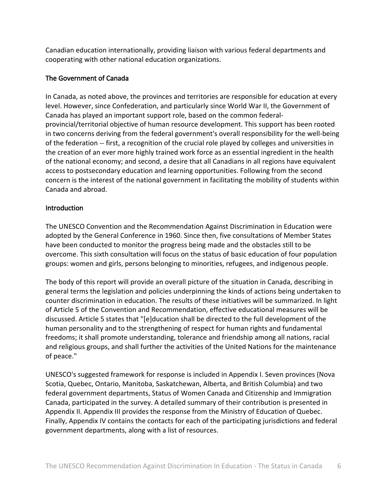Canadian education internationally, providing liaison with various federal departments and cooperating with other national education organizations.

## The Government of Canada

In Canada, as noted above, the provinces and territories are responsible for education at every level. However, since Confederation, and particularly since World War II, the Government of Canada has played an important support role, based on the common federal‐ provincial/territorial objective of human resource development. This support has been rooted in two concerns deriving from the federal government's overall responsibility for the well‐being of the federation ‐‐ first, a recognition of the crucial role played by colleges and universities in the creation of an ever more highly trained work force as an essential ingredient in the health of the national economy; and second, a desire that all Canadians in all regions have equivalent access to postsecondary education and learning opportunities. Following from the second concern is the interest of the national government in facilitating the mobility of students within Canada and abroad.

## **Introduction**

The UNESCO Convention and the Recommendation Against Discrimination in Education were adopted by the General Conference in 1960. Since then, five consultations of Member States have been conducted to monitor the progress being made and the obstacles still to be overcome. This sixth consultation will focus on the status of basic education of four population groups: women and girls, persons belonging to minorities, refugees, and indigenous people.

The body of this report will provide an overall picture of the situation in Canada, describing in general terms the legislation and policies underpinning the kinds of actions being undertaken to counter discrimination in education. The results of these initiatives will be summarized. In light of Article 5 of the Convention and Recommendation, effective educational measures will be discussed. Article 5 states that "[e]ducation shall be directed to the full development of the human personality and to the strengthening of respect for human rights and fundamental freedoms; it shall promote understanding, tolerance and friendship among all nations, racial and religious groups, and shall further the activities of the United Nations for the maintenance of peace."

UNESCO's suggested framework for response is included in Appendix I. Seven provinces (Nova Scotia, Quebec, Ontario, Manitoba, Saskatchewan, Alberta, and British Columbia) and two federal government departments, Status of Women Canada and Citizenship and Immigration Canada, participated in the survey. A detailed summary of their contribution is presented in Appendix II. Appendix III provides the response from the Ministry of Education of Quebec. Finally, Appendix IV contains the contacts for each of the participating jurisdictions and federal government departments, along with a list of resources.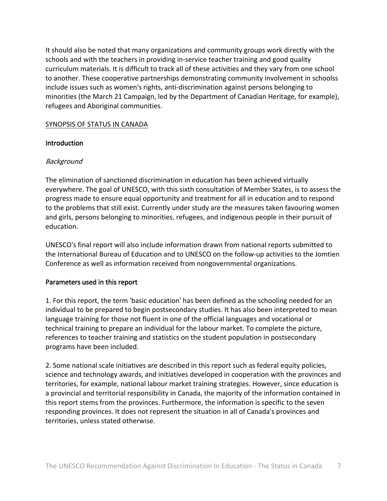It should also be noted that many organizations and community groups work directly with the schools and with the teachers in providing in‐service teacher training and good quality curriculum materials. It is difficult to track all of these activities and they vary from one school to another. These cooperative partnerships demonstrating community involvement in schoolss include issues such as women's rights, anti‐discrimination against persons belonging to minorities (the March 21 Campaign, led by the Department of Canadian Heritage, for example), refugees and Aboriginal communities.

## SYNOPSIS OF STATUS IN CANADA

## Introduction

## Background

The elimination of sanctioned discrimination in education has been achieved virtually everywhere. The goal of UNESCO, with this sixth consultation of Member States, is to assess the progress made to ensure equal opportunity and treatment for all in education and to respond to the problems that still exist. Currently under study are the measures taken favouring women and girls, persons belonging to minorities, refugees, and indigenous people in their pursuit of education.

UNESCO's final report will also include information drawn from national reports submitted to the International Bureau of Education and to UNESCO on the follow‐up activities to the Jomtien Conference as well as information received from nongovernmental organizations.

#### Parameters used in this report

1. For this report, the term 'basic education' has been defined as the schooling needed for an individual to be prepared to begin postsecondary studies. It has also been interpreted to mean language training for those not fluent in one of the official languages and vocational or technical training to prepare an individual for the labour market. To complete the picture, references to teacher training and statistics on the student population in postsecondary programs have been included.

2. Some national scale initiatives are described in this report such as federal equity policies, science and technology awards, and initiatives developed in cooperation with the provinces and territories, for example, national labour market training strategies. However, since education is a provincial and territorial responsibility in Canada, the majority of the information contained in this report stems from the provinces. Furthermore, the information is specific to the seven responding provinces. It does not represent the situation in all of Canada's provinces and territories, unless stated otherwise.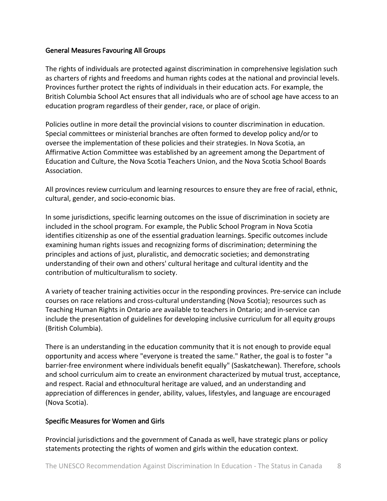#### General Measures Favouring All Groups

The rights of individuals are protected against discrimination in comprehensive legislation such as charters of rights and freedoms and human rights codes at the national and provincial levels. Provinces further protect the rights of individuals in their education acts. For example, the British Columbia School Act ensures that all individuals who are of school age have access to an education program regardless of their gender, race, or place of origin.

Policies outline in more detail the provincial visions to counter discrimination in education. Special committees or ministerial branches are often formed to develop policy and/or to oversee the implementation of these policies and their strategies. In Nova Scotia, an Affirmative Action Committee was established by an agreement among the Department of Education and Culture, the Nova Scotia Teachers Union, and the Nova Scotia School Boards Association.

All provinces review curriculum and learning resources to ensure they are free of racial, ethnic, cultural, gender, and socio‐economic bias.

In some jurisdictions, specific learning outcomes on the issue of discrimination in society are included in the school program. For example, the Public School Program in Nova Scotia identifies citizenship as one of the essential graduation learnings. Specific outcomes include examining human rights issues and recognizing forms of discrimination; determining the principles and actions of just, pluralistic, and democratic societies; and demonstrating understanding of their own and others' cultural heritage and cultural identity and the contribution of multiculturalism to society.

A variety of teacher training activities occur in the responding provinces. Pre‐service can include courses on race relations and cross‐cultural understanding (Nova Scotia); resources such as Teaching Human Rights in Ontario are available to teachers in Ontario; and in‐service can include the presentation of guidelines for developing inclusive curriculum for all equity groups (British Columbia).

There is an understanding in the education community that it is not enough to provide equal opportunity and access where "everyone is treated the same." Rather, the goal is to foster "a barrier-free environment where individuals benefit equally" (Saskatchewan). Therefore, schools and school curriculum aim to create an environment characterized by mutual trust, acceptance, and respect. Racial and ethnocultural heritage are valued, and an understanding and appreciation of differences in gender, ability, values, lifestyles, and language are encouraged (Nova Scotia).

## Specific Measures for Women and Girls

Provincial jurisdictions and the government of Canada as well, have strategic plans or policy statements protecting the rights of women and girls within the education context.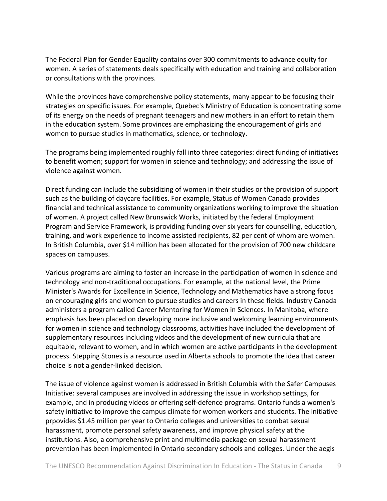The Federal Plan for Gender Equality contains over 300 commitments to advance equity for women. A series of statements deals specifically with education and training and collaboration or consultations with the provinces.

While the provinces have comprehensive policy statements, many appear to be focusing their strategies on specific issues. For example, Quebec's Ministry of Education is concentrating some of its energy on the needs of pregnant teenagers and new mothers in an effort to retain them in the education system. Some provinces are emphasizing the encouragement of girls and women to pursue studies in mathematics, science, or technology.

The programs being implemented roughly fall into three categories: direct funding of initiatives to benefit women; support for women in science and technology; and addressing the issue of violence against women.

Direct funding can include the subsidizing of women in their studies or the provision of support such as the building of daycare facilities. For example, Status of Women Canada provides financial and technical assistance to community organizations working to improve the situation of women. A project called New Brunswick Works, initiated by the federal Employment Program and Service Framework, is providing funding over six years for counselling, education, training, and work experience to income assisted recipients, 82 per cent of whom are women. In British Columbia, over \$14 million has been allocated for the provision of 700 new childcare spaces on campuses.

Various programs are aiming to foster an increase in the participation of women in science and technology and non‐traditional occupations. For example, at the national level, the Prime Minister's Awards for Excellence in Science, Technology and Mathematics have a strong focus on encouraging girls and women to pursue studies and careers in these fields. Industry Canada administers a program called Career Mentoring for Women in Sciences. In Manitoba, where emphasis has been placed on developing more inclusive and welcoming learning environments for women in science and technology classrooms, activities have included the development of supplementary resources including videos and the development of new curricula that are equitable, relevant to women, and in which women are active participants in the development process. Stepping Stones is a resource used in Alberta schools to promote the idea that career choice is not a gender‐linked decision.

The issue of violence against women is addressed in British Columbia with the Safer Campuses Initiative: several campuses are involved in addressing the issue in workshop settings, for example, and in producing videos or offering self‐defence programs. Ontario funds a women's safety initiative to improve the campus climate for women workers and students. The initiative prpovides \$1.45 million per year to Ontario colleges and universities to combat sexual harassment, promote personal safety awareness, and improve physical safety at the institutions. Also, a comprehensive print and multimedia package on sexual harassment prevention has been implemented in Ontario secondary schools and colleges. Under the aegis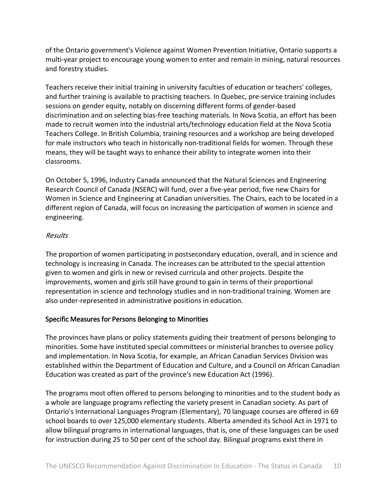of the Ontario government's Violence against Women Prevention Initiative, Ontario supports a multi-year project to encourage young women to enter and remain in mining, natural resources and forestry studies.

Teachers receive their initial training in university faculties of education or teachers' colleges, and further training is available to practising teachers. In Quebec, pre‐service training includes sessions on gender equity, notably on discerning different forms of gender‐based discrimination and on selecting bias‐free teaching materials. In Nova Scotia, an effort has been made to recruit women into the industrial arts/technology education field at the Nova Scotia Teachers College. In British Columbia, training resources and a workshop are being developed for male instructors who teach in historically non-traditional fields for women. Through these means, they will be taught ways to enhance their ability to integrate women into their classrooms.

On October 5, 1996, Industry Canada announced that the Natural Sciences and Engineering Research Council of Canada (NSERC) will fund, over a five‐year period, five new Chairs for Women in Science and Engineering at Canadian universities. The Chairs, each to be located in a different region of Canada, will focus on increasing the participation of women in science and engineering.

## Results

The proportion of women participating in postsecondary education, overall, and in science and technology is increasing in Canada. The increases can be attributed to the special attention given to women and girls in new or revised curricula and other projects. Despite the improvements, women and girls still have ground to gain in terms of their proportional representation in science and technology studies and in non-traditional training. Women are also under‐represented in administrative positions in education.

## Specific Measures for Persons Belonging to Minorities

The provinces have plans or policy statements guiding their treatment of persons belonging to minorities. Some have instituted special committees or ministerial branches to oversee policy and implementation. In Nova Scotia, for example, an African Canadian Services Division was established within the Department of Education and Culture, and a Council on African Canadian Education was created as part of the province's new Education Act (1996).

The programs most often offered to persons belonging to minorities and to the student body as a whole are language programs reflecting the variety present in Canadian society. As part of Ontario's International Languages Program (Elementary), 70 language courses are offered in 69 school boards to over 125,000 elementary students. Alberta amended its School Act in 1971 to allow bilingual programs in international languages, that is, one of these languages can be used for instruction during 25 to 50 per cent of the school day. Bilingual programs exist there in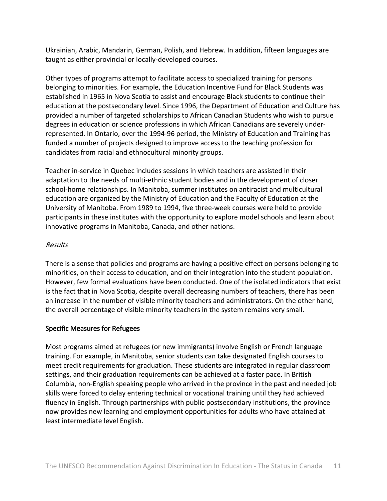Ukrainian, Arabic, Mandarin, German, Polish, and Hebrew. In addition, fifteen languages are taught as either provincial or locally‐developed courses.

Other types of programs attempt to facilitate access to specialized training for persons belonging to minorities. For example, the Education Incentive Fund for Black Students was established in 1965 in Nova Scotia to assist and encourage Black students to continue their education at the postsecondary level. Since 1996, the Department of Education and Culture has provided a number of targeted scholarships to African Canadian Students who wish to pursue degrees in education or science professions in which African Canadians are severely under‐ represented. In Ontario, over the 1994‐96 period, the Ministry of Education and Training has funded a number of projects designed to improve access to the teaching profession for candidates from racial and ethnocultural minority groups.

Teacher in‐service in Quebec includes sessions in which teachers are assisted in their adaptation to the needs of multi‐ethnic student bodies and in the development of closer school‐home relationships. In Manitoba, summer institutes on antiracist and multicultural education are organized by the Ministry of Education and the Faculty of Education at the University of Manitoba. From 1989 to 1994, five three‐week courses were held to provide participants in these institutes with the opportunity to explore model schools and learn about innovative programs in Manitoba, Canada, and other nations.

## Results

There is a sense that policies and programs are having a positive effect on persons belonging to minorities, on their access to education, and on their integration into the student population. However, few formal evaluations have been conducted. One of the isolated indicators that exist is the fact that in Nova Scotia, despite overall decreasing numbers of teachers, there has been an increase in the number of visible minority teachers and administrators. On the other hand, the overall percentage of visible minority teachers in the system remains very small.

## Specific Measures for Refugees

Most programs aimed at refugees (or new immigrants) involve English or French language training. For example, in Manitoba, senior students can take designated English courses to meet credit requirements for graduation. These students are integrated in regular classroom settings, and their graduation requirements can be achieved at a faster pace. In British Columbia, non‐English speaking people who arrived in the province in the past and needed job skills were forced to delay entering technical or vocational training until they had achieved fluency in English. Through partnerships with public postsecondary institutions, the province now provides new learning and employment opportunities for adults who have attained at least intermediate level English.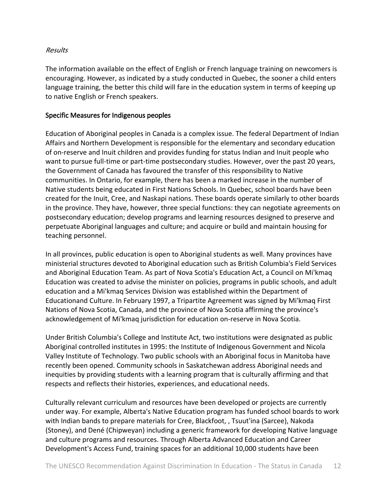## Results

The information available on the effect of English or French language training on newcomers is encouraging. However, as indicated by a study conducted in Quebec, the sooner a child enters language training, the better this child will fare in the education system in terms of keeping up to native English or French speakers.

## Specific Measures for Indigenous peoples

Education of Aboriginal peoples in Canada is a complex issue. The federal Department of Indian Affairs and Northern Development is responsible for the elementary and secondary education of on‐reserve and Inuit children and provides funding for status Indian and Inuit people who want to pursue full-time or part-time postsecondary studies. However, over the past 20 years, the Government of Canada has favoured the transfer of this responsibility to Native communities. In Ontario, for example, there has been a marked increase in the number of Native students being educated in First Nations Schools. In Quebec, school boards have been created for the Inuit, Cree, and Naskapi nations. These boards operate similarly to other boards in the province. They have, however, three special functions: they can negotiate agreements on postsecondary education; develop programs and learning resources designed to preserve and perpetuate Aboriginal languages and culture; and acquire or build and maintain housing for teaching personnel.

In all provinces, public education is open to Aboriginal students as well. Many provinces have ministerial structures devoted to Aboriginal education such as British Columbia's Field Services and Aboriginal Education Team. As part of Nova Scotia's Education Act, a Council on Mi'kmaq Education was created to advise the minister on policies, programs in public schools, and adult education and a Mi'kmaq Services Division was established within the Department of Educationand Culture. In February 1997, a Tripartite Agreement was signed by Mi'kmaq First Nations of Nova Scotia, Canada, and the province of Nova Scotia affirming the province's acknowledgement of Mi'kmaq jurisdiction for education on‐reserve in Nova Scotia.

Under British Columbia's College and Institute Act, two institutions were designated as public Aboriginal controlled institutes in 1995: the Institute of Indigenous Government and Nicola Valley Institute of Technology. Two public schools with an Aboriginal focus in Manitoba have recently been opened. Community schools in Saskatchewan address Aboriginal needs and inequities by providing students with a learning program that is culturally affirming and that respects and reflects their histories, experiences, and educational needs.

Culturally relevant curriculum and resources have been developed or projects are currently under way. For example, Alberta's Native Education program has funded school boards to work with Indian bands to prepare materials for Cree, Blackfoot, , Tsuut'ina (Sarcee), Nakoda (Stoney), and Dené (Chipweyan) including a generic framework for developing Native language and culture programs and resources. Through Alberta Advanced Education and Career Development's Access Fund, training spaces for an additional 10,000 students have been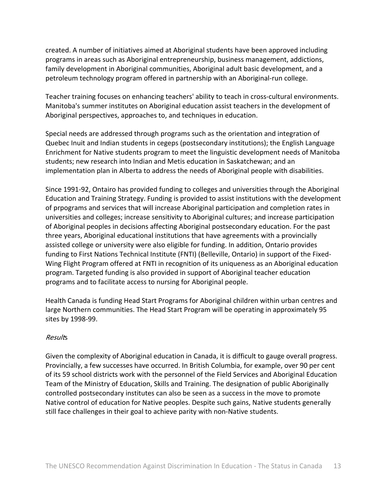created. A number of initiatives aimed at Aboriginal students have been approved including programs in areas such as Aboriginal entrepreneurship, business management, addictions, family development in Aboriginal communities, Aboriginal adult basic development, and a petroleum technology program offered in partnership with an Aboriginal‐run college.

Teacher training focuses on enhancing teachers' ability to teach in cross-cultural environments. Manitoba's summer institutes on Aboriginal education assist teachers in the development of Aboriginal perspectives, approaches to, and techniques in education.

Special needs are addressed through programs such as the orientation and integration of Quebec Inuit and Indian students in cegeps (postsecondary institutions); the English Language Enrichment for Native students program to meet the linguistic development needs of Manitoba students; new research into Indian and Metis education in Saskatchewan; and an implementation plan in Alberta to address the needs of Aboriginal people with disabilities.

Since 1991‐92, Ontairo has provided funding to colleges and universities through the Aboriginal Education and Training Strategy. Funding is provided to assist institutions with the development of prpograms and services that will increase Aboriginal participation and completion rates in universities and colleges; increase sensitivity to Aboriginal cultures; and increase participation of Aboriginal peoples in decisions affecting Aboriginal postsecondary education. For the past three years, Aboriginal educational institutions that have agreements with a provincially assisted college or university were also eligible for funding. In addition, Ontario provides funding to First Nations Technical Institute (FNTI) (Belleville, Ontario) in support of the Fixed‐ Wing Flight Program offered at FNTI in recognition of its uniqueness as an Aboriginal education program. Targeted funding is also provided in support of Aboriginal teacher education programs and to facilitate access to nursing for Aboriginal people.

Health Canada is funding Head Start Programs for Aboriginal children within urban centres and large Northern communities. The Head Start Program will be operating in approximately 95 sites by 1998‐99.

#### **Results**

Given the complexity of Aboriginal education in Canada, it is difficult to gauge overall progress. Provincially, a few successes have occurred. In British Columbia, for example, over 90 per cent of its 59 school districts work with the personnel of the Field Services and Aboriginal Education Team of the Ministry of Education, Skills and Training. The designation of public Aboriginally controlled postsecondary institutes can also be seen as a success in the move to promote Native control of education for Native peoples. Despite such gains, Native students generally still face challenges in their goal to achieve parity with non‐Native students.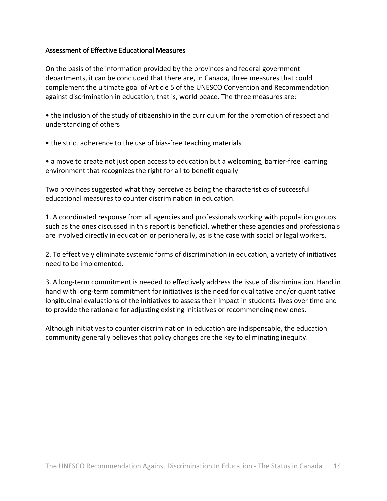## Assessment of Effective Educational Measures

On the basis of the information provided by the provinces and federal government departments, it can be concluded that there are, in Canada, three measures that could complement the ultimate goal of Article 5 of the UNESCO Convention and Recommendation against discrimination in education, that is, world peace. The three measures are:

• the inclusion of the study of citizenship in the curriculum for the promotion of respect and understanding of others

• the strict adherence to the use of bias-free teaching materials

• a move to create not just open access to education but a welcoming, barrier-free learning environment that recognizes the right for all to benefit equally

Two provinces suggested what they perceive as being the characteristics of successful educational measures to counter discrimination in education.

1. A coordinated response from all agencies and professionals working with population groups such as the ones discussed in this report is beneficial, whether these agencies and professionals are involved directly in education or peripherally, as is the case with social or legal workers.

2. To effectively eliminate systemic forms of discrimination in education, a variety of initiatives need to be implemented.

3. A long-term commitment is needed to effectively address the issue of discrimination. Hand in hand with long-term commitment for initiatives is the need for qualitative and/or quantitative longitudinal evaluations of the initiatives to assess their impact in students' lives over time and to provide the rationale for adjusting existing initiatives or recommending new ones.

Although initiatives to counter discrimination in education are indispensable, the education community generally believes that policy changes are the key to eliminating inequity.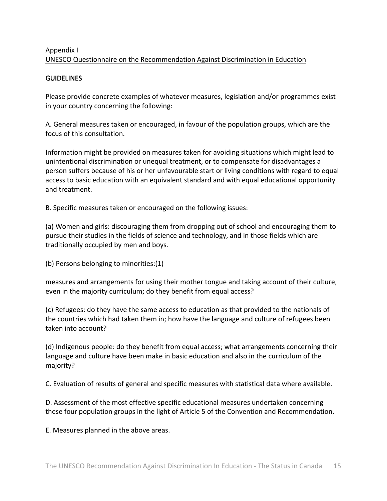# Appendix I UNESCO Questionnaire on the Recommendation Against Discrimination in Education

## **GUIDELINES**

Please provide concrete examples of whatever measures, legislation and/or programmes exist in your country concerning the following:

A. General measures taken or encouraged, in favour of the population groups, which are the focus of this consultation.

Information might be provided on measures taken for avoiding situations which might lead to unintentional discrimination or unequal treatment, or to compensate for disadvantages a person suffers because of his or her unfavourable start or living conditions with regard to equal access to basic education with an equivalent standard and with equal educational opportunity and treatment.

B. Specific measures taken or encouraged on the following issues:

(a) Women and girls: discouraging them from dropping out of school and encouraging them to pursue their studies in the fields of science and technology, and in those fields which are traditionally occupied by men and boys.

(b) Persons belonging to minorities:(1)

measures and arrangements for using their mother tongue and taking account of their culture, even in the majority curriculum; do they benefit from equal access?

(c) Refugees: do they have the same access to education as that provided to the nationals of the countries which had taken them in; how have the language and culture of refugees been taken into account?

(d) Indigenous people: do they benefit from equal access; what arrangements concerning their language and culture have been make in basic education and also in the curriculum of the majority?

C. Evaluation of results of general and specific measures with statistical data where available.

D. Assessment of the most effective specific educational measures undertaken concerning these four population groups in the light of Article 5 of the Convention and Recommendation.

E. Measures planned in the above areas.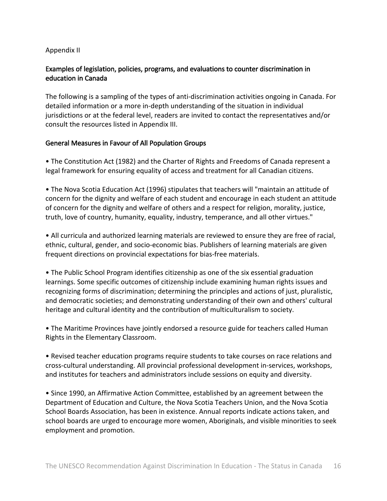## Appendix II

## Examples of legislation, policies, programs, and evaluations to counter discrimination in education in Canada

The following is a sampling of the types of anti‐discrimination activities ongoing in Canada. For detailed information or a more in‐depth understanding of the situation in individual jurisdictions or at the federal level, readers are invited to contact the representatives and/or consult the resources listed in Appendix III.

## General Measures in Favour of All Population Groups

• The Constitution Act (1982) and the Charter of Rights and Freedoms of Canada represent a legal framework for ensuring equality of access and treatment for all Canadian citizens.

• The Nova Scotia Education Act (1996) stipulates that teachers will "maintain an attitude of concern for the dignity and welfare of each student and encourage in each student an attitude of concern for the dignity and welfare of others and a respect for religion, morality, justice, truth, love of country, humanity, equality, industry, temperance, and all other virtues."

• All curricula and authorized learning materials are reviewed to ensure they are free of racial, ethnic, cultural, gender, and socio‐economic bias. Publishers of learning materials are given frequent directions on provincial expectations for bias-free materials.

• The Public School Program identifies citizenship as one of the six essential graduation learnings. Some specific outcomes of citizenship include examining human rights issues and recognizing forms of discrimination; determining the principles and actions of just, pluralistic, and democratic societies; and demonstrating understanding of their own and others' cultural heritage and cultural identity and the contribution of multiculturalism to society.

• The Maritime Provinces have jointly endorsed a resource guide for teachers called Human Rights in the Elementary Classroom.

• Revised teacher education programs require students to take courses on race relations and cross‐cultural understanding. All provincial professional development in‐services, workshops, and institutes for teachers and administrators include sessions on equity and diversity.

• Since 1990, an Affirmative Action Committee, established by an agreement between the Department of Education and Culture, the Nova Scotia Teachers Union, and the Nova Scotia School Boards Association, has been in existence. Annual reports indicate actions taken, and school boards are urged to encourage more women, Aboriginals, and visible minorities to seek employment and promotion.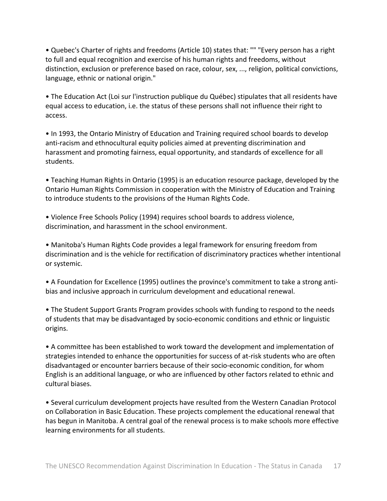• Quebec's Charter of rights and freedoms (Article 10) states that: "" "Every person has a right to full and equal recognition and exercise of his human rights and freedoms, without distinction, exclusion or preference based on race, colour, sex, ..., religion, political convictions, language, ethnic or national origin."

• The Education Act (Loi sur l'instruction publique du Québec) stipulates that all residents have equal access to education, i.e. the status of these persons shall not influence their right to access.

• In 1993, the Ontario Ministry of Education and Training required school boards to develop anti-racism and ethnocultural equity policies aimed at preventing discrimination and harassment and promoting fairness, equal opportunity, and standards of excellence for all students.

• Teaching Human Rights in Ontario (1995) is an education resource package, developed by the Ontario Human Rights Commission in cooperation with the Ministry of Education and Training to introduce students to the provisions of the Human Rights Code.

• Violence Free Schools Policy (1994) requires school boards to address violence, discrimination, and harassment in the school environment.

• Manitoba's Human Rights Code provides a legal framework for ensuring freedom from discrimination and is the vehicle for rectification of discriminatory practices whether intentional or systemic.

• A Foundation for Excellence (1995) outlines the province's commitment to take a strong anti‐ bias and inclusive approach in curriculum development and educational renewal.

• The Student Support Grants Program provides schools with funding to respond to the needs of students that may be disadvantaged by socio‐economic conditions and ethnic or linguistic origins.

• A committee has been established to work toward the development and implementation of strategies intended to enhance the opportunities for success of at‐risk students who are often disadvantaged or encounter barriers because of their socio‐economic condition, for whom English is an additional language, or who are influenced by other factors related to ethnic and cultural biases.

• Several curriculum development projects have resulted from the Western Canadian Protocol on Collaboration in Basic Education. These projects complement the educational renewal that has begun in Manitoba. A central goal of the renewal process is to make schools more effective learning environments for all students.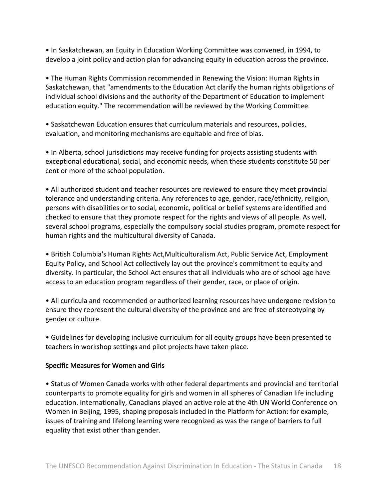• In Saskatchewan, an Equity in Education Working Committee was convened, in 1994, to develop a joint policy and action plan for advancing equity in education across the province.

• The Human Rights Commission recommended in Renewing the Vision: Human Rights in Saskatchewan, that "amendments to the Education Act clarify the human rights obligations of individual school divisions and the authority of the Department of Education to implement education equity." The recommendation will be reviewed by the Working Committee.

• Saskatchewan Education ensures that curriculum materials and resources, policies, evaluation, and monitoring mechanisms are equitable and free of bias.

• In Alberta, school jurisdictions may receive funding for projects assisting students with exceptional educational, social, and economic needs, when these students constitute 50 per cent or more of the school population.

• All authorized student and teacher resources are reviewed to ensure they meet provincial tolerance and understanding criteria. Any references to age, gender, race/ethnicity, religion, persons with disabilities or to social, economic, political or belief systems are identified and checked to ensure that they promote respect for the rights and views of all people. As well, several school programs, especially the compulsory social studies program, promote respect for human rights and the multicultural diversity of Canada.

• British Columbia's Human Rights Act,Multiculturalism Act, Public Service Act, Employment Equity Policy, and School Act collectively lay out the province's commitment to equity and diversity. In particular, the School Act ensures that all individuals who are of school age have access to an education program regardless of their gender, race, or place of origin.

• All curricula and recommended or authorized learning resources have undergone revision to ensure they represent the cultural diversity of the province and are free of stereotyping by gender or culture.

• Guidelines for developing inclusive curriculum for all equity groups have been presented to teachers in workshop settings and pilot projects have taken place.

## Specific Measures for Women and Girls

• Status of Women Canada works with other federal departments and provincial and territorial counterparts to promote equality for girls and women in all spheres of Canadian life including education. Internationally, Canadians played an active role at the 4th UN World Conference on Women in Beijing, 1995, shaping proposals included in the Platform for Action: for example, issues of training and lifelong learning were recognized as was the range of barriers to full equality that exist other than gender.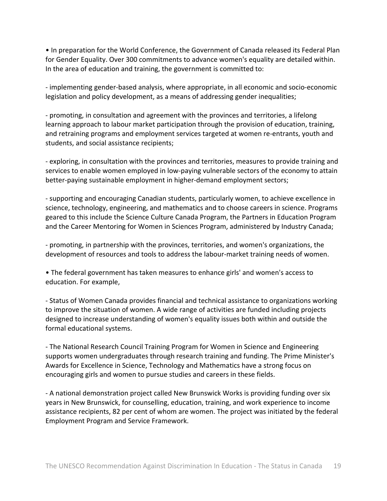• In preparation for the World Conference, the Government of Canada released its Federal Plan for Gender Equality. Over 300 commitments to advance women's equality are detailed within. In the area of education and training, the government is committed to:

‐ implementing gender‐based analysis, where appropriate, in all economic and socio‐economic legislation and policy development, as a means of addressing gender inequalities;

‐ promoting, in consultation and agreement with the provinces and territories, a lifelong learning approach to labour market participation through the provision of education, training, and retraining programs and employment services targeted at women re‐entrants, youth and students, and social assistance recipients;

‐ exploring, in consultation with the provinces and territories, measures to provide training and services to enable women employed in low‐paying vulnerable sectors of the economy to attain better-paying sustainable employment in higher-demand employment sectors;

‐ supporting and encouraging Canadian students, particularly women, to achieve excellence in science, technology, engineering, and mathematics and to choose careers in science. Programs geared to this include the Science Culture Canada Program, the Partners in Education Program and the Career Mentoring for Women in Sciences Program, administered by Industry Canada;

‐ promoting, in partnership with the provinces, territories, and women's organizations, the development of resources and tools to address the labour‐market training needs of women.

• The federal government has taken measures to enhance girls' and women's access to education. For example,

‐ Status of Women Canada provides financial and technical assistance to organizations working to improve the situation of women. A wide range of activities are funded including projects designed to increase understanding of women's equality issues both within and outside the formal educational systems.

‐ The National Research Council Training Program for Women in Science and Engineering supports women undergraduates through research training and funding. The Prime Minister's Awards for Excellence in Science, Technology and Mathematics have a strong focus on encouraging girls and women to pursue studies and careers in these fields.

‐ A national demonstration project called New Brunswick Works is providing funding over six years in New Brunswick, for counselling, education, training, and work experience to income assistance recipients, 82 per cent of whom are women. The project was initiated by the federal Employment Program and Service Framework.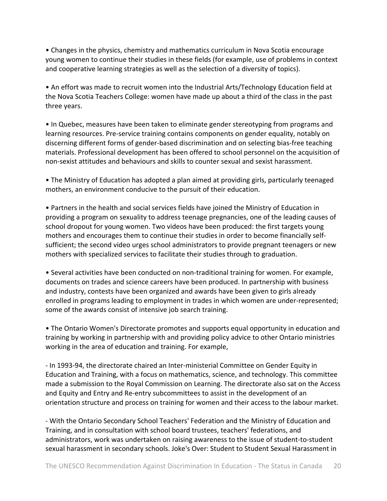• Changes in the physics, chemistry and mathematics curriculum in Nova Scotia encourage young women to continue their studies in these fields (for example, use of problems in context and cooperative learning strategies as well as the selection of a diversity of topics).

• An effort was made to recruit women into the Industrial Arts/Technology Education field at the Nova Scotia Teachers College: women have made up about a third of the class in the past three years.

• In Quebec, measures have been taken to eliminate gender stereotyping from programs and learning resources. Pre‐service training contains components on gender equality, notably on discerning different forms of gender‐based discrimination and on selecting bias‐free teaching materials. Professional development has been offered to school personnel on the acquisition of non‐sexist attitudes and behaviours and skills to counter sexual and sexist harassment.

• The Ministry of Education has adopted a plan aimed at providing girls, particularly teenaged mothers, an environment conducive to the pursuit of their education.

• Partners in the health and social services fields have joined the Ministry of Education in providing a program on sexuality to address teenage pregnancies, one of the leading causes of school dropout for young women. Two videos have been produced: the first targets young mothers and encourages them to continue their studies in order to become financially self‐ sufficient; the second video urges school administrators to provide pregnant teenagers or new mothers with specialized services to facilitate their studies through to graduation.

• Several activities have been conducted on non‐traditional training for women. For example, documents on trades and science careers have been produced. In partnership with business and industry, contests have been organized and awards have been given to girls already enrolled in programs leading to employment in trades in which women are under‐represented; some of the awards consist of intensive job search training.

• The Ontario Women's Directorate promotes and supports equal opportunity in education and training by working in partnership with and providing policy advice to other Ontario ministries working in the area of education and training. For example,

‐ In 1993‐94, the directorate chaired an Inter‐ministerial Committee on Gender Equity in Education and Training, with a focus on mathematics, science, and technology. This committee made a submission to the Royal Commission on Learning. The directorate also sat on the Access and Equity and Entry and Re‐entry subcommittees to assist in the development of an orientation structure and process on training for women and their access to the labour market.

‐ With the Ontario Secondary School Teachers' Federation and the Ministry of Education and Training, and in consultation with school board trustees, teachers' federations, and administrators, work was undertaken on raising awareness to the issue of student‐to‐student sexual harassment in secondary schools. Joke's Over: Student to Student Sexual Harassment in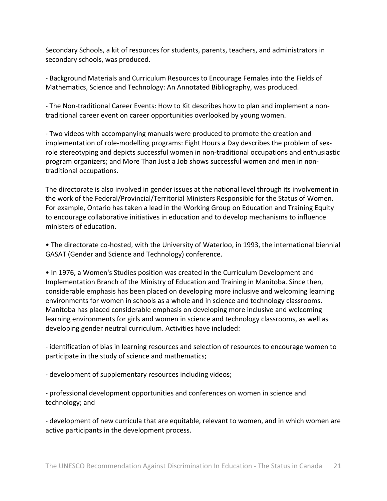Secondary Schools, a kit of resources for students, parents, teachers, and administrators in secondary schools, was produced.

‐ Background Materials and Curriculum Resources to Encourage Females into the Fields of Mathematics, Science and Technology: An Annotated Bibliography, was produced.

‐ The Non‐traditional Career Events: How to Kit describes how to plan and implement a non‐ traditional career event on career opportunities overlooked by young women.

‐ Two videos with accompanying manuals were produced to promote the creation and implementation of role-modelling programs: Eight Hours a Day describes the problem of sexrole stereotyping and depicts successful women in non-traditional occupations and enthusiastic program organizers; and More Than Just a Job shows successful women and men in non‐ traditional occupations.

The directorate is also involved in gender issues at the national level through its involvement in the work of the Federal/Provincial/Territorial Ministers Responsible for the Status of Women. For example, Ontario has taken a lead in the Working Group on Education and Training Equity to encourage collaborative initiatives in education and to develop mechanisms to influence ministers of education.

• The directorate co-hosted, with the University of Waterloo, in 1993, the international biennial GASAT (Gender and Science and Technology) conference.

• In 1976, a Women's Studies position was created in the Curriculum Development and Implementation Branch of the Ministry of Education and Training in Manitoba. Since then, considerable emphasis has been placed on developing more inclusive and welcoming learning environments for women in schools as a whole and in science and technology classrooms. Manitoba has placed considerable emphasis on developing more inclusive and welcoming learning environments for girls and women in science and technology classrooms, as well as developing gender neutral curriculum. Activities have included:

‐ identification of bias in learning resources and selection of resources to encourage women to participate in the study of science and mathematics;

‐ development of supplementary resources including videos;

‐ professional development opportunities and conferences on women in science and technology; and

‐ development of new curricula that are equitable, relevant to women, and in which women are active participants in the development process.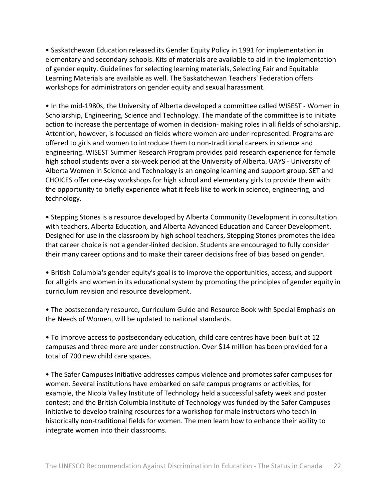• Saskatchewan Education released its Gender Equity Policy in 1991 for implementation in elementary and secondary schools. Kits of materials are available to aid in the implementation of gender equity. Guidelines for selecting learning materials, Selecting Fair and Equitable Learning Materials are available as well. The Saskatchewan Teachers' Federation offers workshops for administrators on gender equity and sexual harassment.

• In the mid‐1980s, the University of Alberta developed a committee called WISEST ‐ Women in Scholarship, Engineering, Science and Technology. The mandate of the committee is to initiate action to increase the percentage of women in decision- making roles in all fields of scholarship. Attention, however, is focussed on fields where women are under‐represented. Programs are offered to girls and women to introduce them to non‐traditional careers in science and engineering. WISEST Summer Research Program provides paid research experience for female high school students over a six-week period at the University of Alberta. UAYS - University of Alberta Women in Science and Technology is an ongoing learning and support group. SET and CHOICES offer one‐day workshops for high school and elementary girls to provide them with the opportunity to briefly experience what it feels like to work in science, engineering, and technology.

• Stepping Stones is a resource developed by Alberta Community Development in consultation with teachers, Alberta Education, and Alberta Advanced Education and Career Development. Designed for use in the classroom by high school teachers, Stepping Stones promotes the idea that career choice is not a gender‐linked decision. Students are encouraged to fully consider their many career options and to make their career decisions free of bias based on gender.

• British Columbia's gender equity's goal is to improve the opportunities, access, and support for all girls and women in its educational system by promoting the principles of gender equity in curriculum revision and resource development.

• The postsecondary resource, Curriculum Guide and Resource Book with Special Emphasis on the Needs of Women, will be updated to national standards.

• To improve access to postsecondary education, child care centres have been built at 12 campuses and three more are under construction. Over \$14 million has been provided for a total of 700 new child care spaces.

• The Safer Campuses Initiative addresses campus violence and promotes safer campuses for women. Several institutions have embarked on safe campus programs or activities, for example, the Nicola Valley Institute of Technology held a successful safety week and poster contest; and the British Columbia Institute of Technology was funded by the Safer Campuses Initiative to develop training resources for a workshop for male instructors who teach in historically non-traditional fields for women. The men learn how to enhance their ability to integrate women into their classrooms.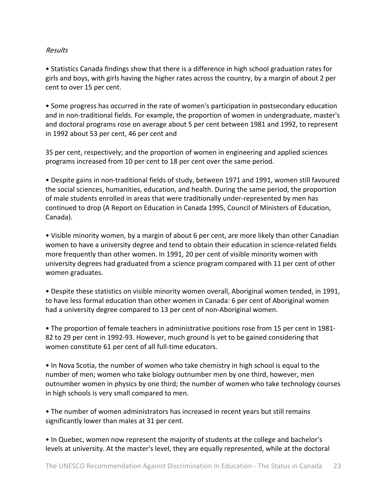## Results

• Statistics Canada findings show that there is a difference in high school graduation rates for girls and boys, with girls having the higher rates across the country, by a margin of about 2 per cent to over 15 per cent.

• Some progress has occurred in the rate of women's participation in postsecondary education and in non-traditional fields. For example, the proportion of women in undergraduate, master's and doctoral programs rose on average about 5 per cent between 1981 and 1992, to represent in 1992 about 53 per cent, 46 per cent and

35 per cent, respectively; and the proportion of women in engineering and applied sciences programs increased from 10 per cent to 18 per cent over the same period.

• Despite gains in non‐traditional fields of study, between 1971 and 1991, women still favoured the social sciences, humanities, education, and health. During the same period, the proportion of male students enrolled in areas that were traditionally under‐represented by men has continued to drop (A Report on Education in Canada 1995, Council of Ministers of Education, Canada).

• Visible minority women, by a margin of about 6 per cent, are more likely than other Canadian women to have a university degree and tend to obtain their education in science-related fields more frequently than other women. In 1991, 20 per cent of visible minority women with university degrees had graduated from a science program compared with 11 per cent of other women graduates.

• Despite these statistics on visible minority women overall, Aboriginal women tended, in 1991, to have less formal education than other women in Canada: 6 per cent of Aboriginal women had a university degree compared to 13 per cent of non‐Aboriginal women.

• The proportion of female teachers in administrative positions rose from 15 per cent in 1981‐ 82 to 29 per cent in 1992-93. However, much ground is yet to be gained considering that women constitute 61 per cent of all full-time educators.

• In Nova Scotia, the number of women who take chemistry in high school is equal to the number of men; women who take biology outnumber men by one third, however, men outnumber women in physics by one third; the number of women who take technology courses in high schools is very small compared to men.

• The number of women administrators has increased in recent years but still remains significantly lower than males at 31 per cent.

• In Quebec, women now represent the majority of students at the college and bachelor's levels at university. At the master's level, they are equally represented, while at the doctoral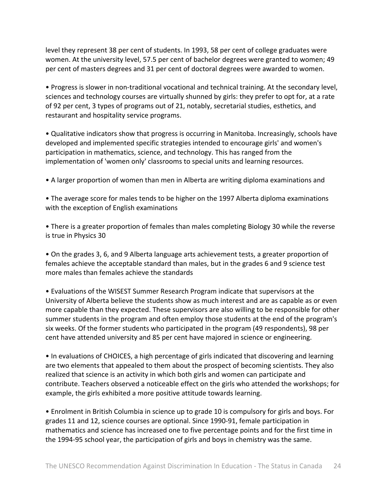level they represent 38 per cent of students. In 1993, 58 per cent of college graduates were women. At the university level, 57.5 per cent of bachelor degrees were granted to women; 49 per cent of masters degrees and 31 per cent of doctoral degrees were awarded to women.

• Progress is slower in non‐traditional vocational and technical training. At the secondary level, sciences and technology courses are virtually shunned by girls: they prefer to opt for, at a rate of 92 per cent, 3 types of programs out of 21, notably, secretarial studies, esthetics, and restaurant and hospitality service programs.

• Qualitative indicators show that progress is occurring in Manitoba. Increasingly, schools have developed and implemented specific strategies intended to encourage girls' and women's participation in mathematics, science, and technology. This has ranged from the implementation of 'women only' classrooms to special units and learning resources.

• A larger proportion of women than men in Alberta are writing diploma examinations and

• The average score for males tends to be higher on the 1997 Alberta diploma examinations with the exception of English examinations

• There is a greater proportion of females than males completing Biology 30 while the reverse is true in Physics 30

• On the grades 3, 6, and 9 Alberta language arts achievement tests, a greater proportion of females achieve the acceptable standard than males, but in the grades 6 and 9 science test more males than females achieve the standards

• Evaluations of the WISEST Summer Research Program indicate that supervisors at the University of Alberta believe the students show as much interest and are as capable as or even more capable than they expected. These supervisors are also willing to be responsible for other summer students in the program and often employ those students at the end of the program's six weeks. Of the former students who participated in the program (49 respondents), 98 per cent have attended university and 85 per cent have majored in science or engineering.

• In evaluations of CHOICES, a high percentage of girls indicated that discovering and learning are two elements that appealed to them about the prospect of becoming scientists. They also realized that science is an activity in which both girls and women can participate and contribute. Teachers observed a noticeable effect on the girls who attended the workshops; for example, the girls exhibited a more positive attitude towards learning.

• Enrolment in British Columbia in science up to grade 10 is compulsory for girls and boys. For grades 11 and 12, science courses are optional. Since 1990‐91, female participation in mathematics and science has increased one to five percentage points and for the first time in the 1994‐95 school year, the participation of girls and boys in chemistry was the same.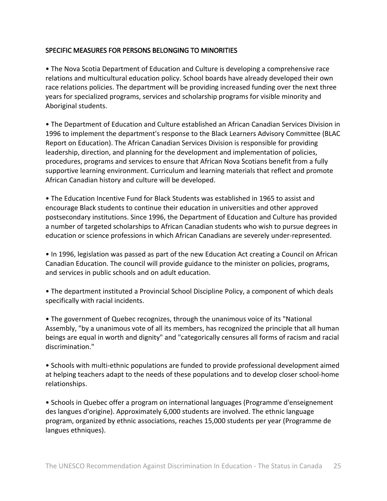## SPECIFIC MEASURES FOR PERSONS BELONGING TO MINORITIES

• The Nova Scotia Department of Education and Culture is developing a comprehensive race relations and multicultural education policy. School boards have already developed their own race relations policies. The department will be providing increased funding over the next three years for specialized programs, services and scholarship programs for visible minority and Aboriginal students.

• The Department of Education and Culture established an African Canadian Services Division in 1996 to implement the department's response to the Black Learners Advisory Committee (BLAC Report on Education). The African Canadian Services Division is responsible for providing leadership, direction, and planning for the development and implementation of policies, procedures, programs and services to ensure that African Nova Scotians benefit from a fully supportive learning environment. Curriculum and learning materials that reflect and promote African Canadian history and culture will be developed.

• The Education Incentive Fund for Black Students was established in 1965 to assist and encourage Black students to continue their education in universities and other approved postsecondary institutions. Since 1996, the Department of Education and Culture has provided a number of targeted scholarships to African Canadian students who wish to pursue degrees in education or science professions in which African Canadians are severely under‐represented.

• In 1996, legislation was passed as part of the new Education Act creating a Council on African Canadian Education. The council will provide guidance to the minister on policies, programs, and services in public schools and on adult education.

• The department instituted a Provincial School Discipline Policy, a component of which deals specifically with racial incidents.

• The government of Quebec recognizes, through the unanimous voice of its "National Assembly, "by a unanimous vote of all its members, has recognized the principle that all human beings are equal in worth and dignity" and "categorically censures all forms of racism and racial discrimination."

• Schools with multi‐ethnic populations are funded to provide professional development aimed at helping teachers adapt to the needs of these populations and to develop closer school‐home relationships.

• Schools in Quebec offer a program on international languages (Programme d'enseignement des langues d'origine). Approximately 6,000 students are involved. The ethnic language program, organized by ethnic associations, reaches 15,000 students per year (Programme de langues ethniques).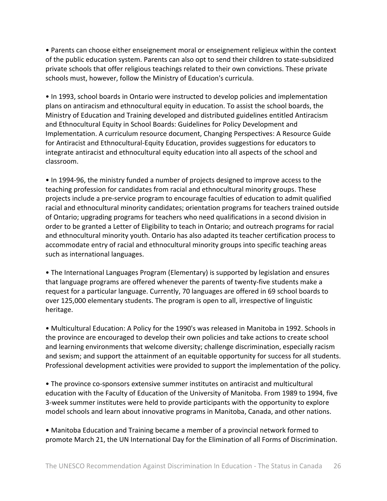• Parents can choose either enseignement moral or enseignement religieux within the context of the public education system. Parents can also opt to send their children to state‐subsidized private schools that offer religious teachings related to their own convictions. These private schools must, however, follow the Ministry of Education's curricula.

• In 1993, school boards in Ontario were instructed to develop policies and implementation plans on antiracism and ethnocultural equity in education. To assist the school boards, the Ministry of Education and Training developed and distributed guidelines entitled Antiracism and Ethnocultural Equity in School Boards: Guidelines for Policy Development and Implementation. A curriculum resource document, Changing Perspectives: A Resource Guide for Antiracist and Ethnocultural‐Equity Education, provides suggestions for educators to integrate antiracist and ethnocultural equity education into all aspects of the school and classroom.

• In 1994‐96, the ministry funded a number of projects designed to improve access to the teaching profession for candidates from racial and ethnocultural minority groups. These projects include a pre‐service program to encourage faculties of education to admit qualified racial and ethnocultural minority candidates; orientation programs for teachers trained outside of Ontario; upgrading programs for teachers who need qualifications in a second division in order to be granted a Letter of Eligibility to teach in Ontario; and outreach programs for racial and ethnocultural minority youth. Ontario has also adapted its teacher certification process to accommodate entry of racial and ethnocultural minority groups into specific teaching areas such as international languages.

• The International Languages Program (Elementary) is supported by legislation and ensures that language programs are offered whenever the parents of twenty‐five students make a request for a particular language. Currently, 70 languages are offered in 69 school boards to over 125,000 elementary students. The program is open to all, irrespective of linguistic heritage.

• Multicultural Education: A Policy for the 1990's was released in Manitoba in 1992. Schools in the province are encouraged to develop their own policies and take actions to create school and learning environments that welcome diversity; challenge discrimination, especially racism and sexism; and support the attainment of an equitable opportunity for success for all students. Professional development activities were provided to support the implementation of the policy.

• The province co-sponsors extensive summer institutes on antiracist and multicultural education with the Faculty of Education of the University of Manitoba. From 1989 to 1994, five 3‐week summer institutes were held to provide participants with the opportunity to explore model schools and learn about innovative programs in Manitoba, Canada, and other nations.

• Manitoba Education and Training became a member of a provincial network formed to promote March 21, the UN International Day for the Elimination of all Forms of Discrimination.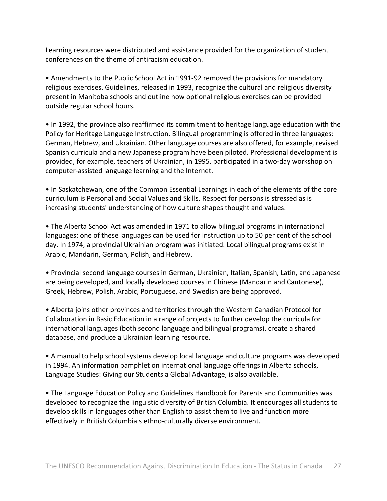Learning resources were distributed and assistance provided for the organization of student conferences on the theme of antiracism education.

• Amendments to the Public School Act in 1991‐92 removed the provisions for mandatory religious exercises. Guidelines, released in 1993, recognize the cultural and religious diversity present in Manitoba schools and outline how optional religious exercises can be provided outside regular school hours.

• In 1992, the province also reaffirmed its commitment to heritage language education with the Policy for Heritage Language Instruction. Bilingual programming is offered in three languages: German, Hebrew, and Ukrainian. Other language courses are also offered, for example, revised Spanish curricula and a new Japanese program have been piloted. Professional development is provided, for example, teachers of Ukrainian, in 1995, participated in a two‐day workshop on computer‐assisted language learning and the Internet.

• In Saskatchewan, one of the Common Essential Learnings in each of the elements of the core curriculum is Personal and Social Values and Skills. Respect for persons is stressed as is increasing students' understanding of how culture shapes thought and values.

• The Alberta School Act was amended in 1971 to allow bilingual programs in international languages: one of these languages can be used for instruction up to 50 per cent of the school day. In 1974, a provincial Ukrainian program was initiated. Local bilingual programs exist in Arabic, Mandarin, German, Polish, and Hebrew.

• Provincial second language courses in German, Ukrainian, Italian, Spanish, Latin, and Japanese are being developed, and locally developed courses in Chinese (Mandarin and Cantonese), Greek, Hebrew, Polish, Arabic, Portuguese, and Swedish are being approved.

• Alberta joins other provinces and territories through the Western Canadian Protocol for Collaboration in Basic Education in a range of projects to further develop the curricula for international languages (both second language and bilingual programs), create a shared database, and produce a Ukrainian learning resource.

• A manual to help school systems develop local language and culture programs was developed in 1994. An information pamphlet on international language offerings in Alberta schools, Language Studies: Giving our Students a Global Advantage, is also available.

• The Language Education Policy and Guidelines Handbook for Parents and Communities was developed to recognize the linguistic diversity of British Columbia. It encourages all students to develop skills in languages other than English to assist them to live and function more effectively in British Columbia's ethno‐culturally diverse environment.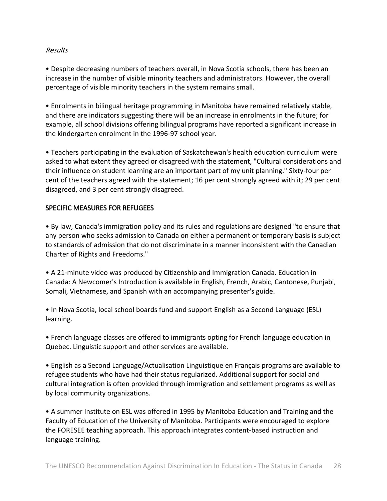#### Results

• Despite decreasing numbers of teachers overall, in Nova Scotia schools, there has been an increase in the number of visible minority teachers and administrators. However, the overall percentage of visible minority teachers in the system remains small.

• Enrolments in bilingual heritage programming in Manitoba have remained relatively stable, and there are indicators suggesting there will be an increase in enrolments in the future; for example, all school divisions offering bilingual programs have reported a significant increase in the kindergarten enrolment in the 1996‐97 school year.

• Teachers participating in the evaluation of Saskatchewan's health education curriculum were asked to what extent they agreed or disagreed with the statement, "Cultural considerations and their influence on student learning are an important part of my unit planning." Sixty‐four per cent of the teachers agreed with the statement; 16 per cent strongly agreed with it; 29 per cent disagreed, and 3 per cent strongly disagreed.

## SPECIFIC MEASURES FOR REFUGEES

• By law, Canada's immigration policy and its rules and regulations are designed "to ensure that any person who seeks admission to Canada on either a permanent or temporary basis is subject to standards of admission that do not discriminate in a manner inconsistent with the Canadian Charter of Rights and Freedoms."

• A 21-minute video was produced by Citizenship and Immigration Canada. Education in Canada: A Newcomer's Introduction is available in English, French, Arabic, Cantonese, Punjabi, Somali, Vietnamese, and Spanish with an accompanying presenter's guide.

• In Nova Scotia, local school boards fund and support English as a Second Language (ESL) learning.

• French language classes are offered to immigrants opting for French language education in Quebec. Linguistic support and other services are available.

• English as a Second Language/Actualisation Linguistique en Français programs are available to refugee students who have had their status regularized. Additional support for social and cultural integration is often provided through immigration and settlement programs as well as by local community organizations.

• A summer Institute on ESL was offered in 1995 by Manitoba Education and Training and the Faculty of Education of the University of Manitoba. Participants were encouraged to explore the FORESEE teaching approach. This approach integrates content‐based instruction and language training.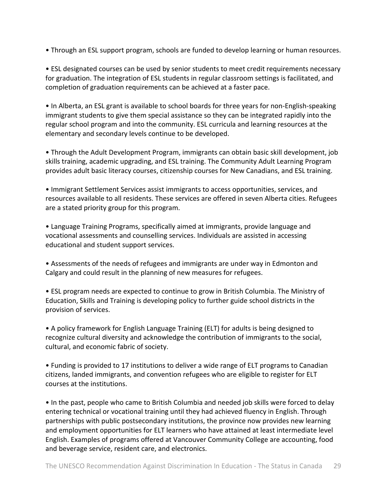• Through an ESL support program, schools are funded to develop learning or human resources.

• ESL designated courses can be used by senior students to meet credit requirements necessary for graduation. The integration of ESL students in regular classroom settings is facilitated, and completion of graduation requirements can be achieved at a faster pace.

• In Alberta, an ESL grant is available to school boards for three years for non-English-speaking immigrant students to give them special assistance so they can be integrated rapidly into the regular school program and into the community. ESL curricula and learning resources at the elementary and secondary levels continue to be developed.

• Through the Adult Development Program, immigrants can obtain basic skill development, job skills training, academic upgrading, and ESL training. The Community Adult Learning Program provides adult basic literacy courses, citizenship courses for New Canadians, and ESL training.

• Immigrant Settlement Services assist immigrants to access opportunities, services, and resources available to all residents. These services are offered in seven Alberta cities. Refugees are a stated priority group for this program.

• Language Training Programs, specifically aimed at immigrants, provide language and vocational assessments and counselling services. Individuals are assisted in accessing educational and student support services.

• Assessments of the needs of refugees and immigrants are under way in Edmonton and Calgary and could result in the planning of new measures for refugees.

• ESL program needs are expected to continue to grow in British Columbia. The Ministry of Education, Skills and Training is developing policy to further guide school districts in the provision of services.

• A policy framework for English Language Training (ELT) for adults is being designed to recognize cultural diversity and acknowledge the contribution of immigrants to the social, cultural, and economic fabric of society.

• Funding is provided to 17 institutions to deliver a wide range of ELT programs to Canadian citizens, landed immigrants, and convention refugees who are eligible to register for ELT courses at the institutions.

• In the past, people who came to British Columbia and needed job skills were forced to delay entering technical or vocational training until they had achieved fluency in English. Through partnerships with public postsecondary institutions, the province now provides new learning and employment opportunities for ELT learners who have attained at least intermediate level English. Examples of programs offered at Vancouver Community College are accounting, food and beverage service, resident care, and electronics.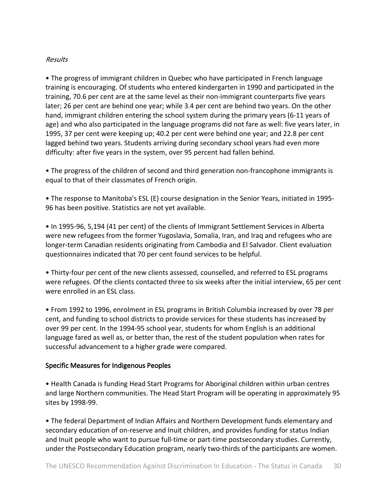#### Results

• The progress of immigrant children in Quebec who have participated in French language training is encouraging. Of students who entered kindergarten in 1990 and participated in the training, 70.6 per cent are at the same level as their non‐immigrant counterparts five years later; 26 per cent are behind one year; while 3.4 per cent are behind two years. On the other hand, immigrant children entering the school system during the primary years (6‐11 years of age) and who also participated in the language programs did not fare as well: five years later, in 1995, 37 per cent were keeping up; 40.2 per cent were behind one year; and 22.8 per cent lagged behind two years. Students arriving during secondary school years had even more difficulty: after five years in the system, over 95 percent had fallen behind.

• The progress of the children of second and third generation non-francophone immigrants is equal to that of their classmates of French origin.

• The response to Manitoba's ESL (E) course designation in the Senior Years, initiated in 1995‐ 96 has been positive. Statistics are not yet available.

• In 1995‐96, 5,194 (41 per cent) of the clients of Immigrant Settlement Services in Alberta were new refugees from the former Yugoslavia, Somalia, Iran, and Iraq and refugees who are longer‐term Canadian residents originating from Cambodia and El Salvador. Client evaluation questionnaires indicated that 70 per cent found services to be helpful.

• Thirty-four per cent of the new clients assessed, counselled, and referred to ESL programs were refugees. Of the clients contacted three to six weeks after the initial interview, 65 per cent were enrolled in an ESL class.

• From 1992 to 1996, enrolment in ESL programs in British Columbia increased by over 78 per cent, and funding to school districts to provide services for these students has increased by over 99 per cent. In the 1994‐95 school year, students for whom English is an additional language fared as well as, or better than, the rest of the student population when rates for successful advancement to a higher grade were compared.

## Specific Measures for Indigenous Peoples

• Health Canada is funding Head Start Programs for Aboriginal children within urban centres and large Northern communities. The Head Start Program will be operating in approximately 95 sites by 1998‐99.

• The federal Department of Indian Affairs and Northern Development funds elementary and secondary education of on-reserve and Inuit children, and provides funding for status Indian and Inuit people who want to pursue full-time or part-time postsecondary studies. Currently, under the Postsecondary Education program, nearly two-thirds of the participants are women.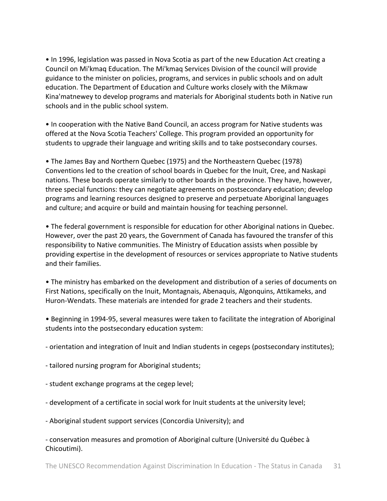• In 1996, legislation was passed in Nova Scotia as part of the new Education Act creating a Council on Mi'kmaq Education. The Mi'kmaq Services Division of the council will provide guidance to the minister on policies, programs, and services in public schools and on adult education. The Department of Education and Culture works closely with the Mikmaw Kina'matnewey to develop programs and materials for Aboriginal students both in Native run schools and in the public school system.

• In cooperation with the Native Band Council, an access program for Native students was offered at the Nova Scotia Teachers' College. This program provided an opportunity for students to upgrade their language and writing skills and to take postsecondary courses.

• The James Bay and Northern Quebec (1975) and the Northeastern Quebec (1978) Conventions led to the creation of school boards in Quebec for the Inuit, Cree, and Naskapi nations. These boards operate similarly to other boards in the province. They have, however, three special functions: they can negotiate agreements on postsecondary education; develop programs and learning resources designed to preserve and perpetuate Aboriginal languages and culture; and acquire or build and maintain housing for teaching personnel.

• The federal government is responsible for education for other Aboriginal nations in Quebec. However, over the past 20 years, the Government of Canada has favoured the transfer of this responsibility to Native communities. The Ministry of Education assists when possible by providing expertise in the development of resources or services appropriate to Native students and their families.

• The ministry has embarked on the development and distribution of a series of documents on First Nations, specifically on the Inuit, Montagnais, Abenaquis, Algonquins, Attikameks, and Huron‐Wendats. These materials are intended for grade 2 teachers and their students.

• Beginning in 1994‐95, several measures were taken to facilitate the integration of Aboriginal students into the postsecondary education system:

‐ orientation and integration of Inuit and Indian students in cegeps (postsecondary institutes);

- ‐ tailored nursing program for Aboriginal students;
- ‐ student exchange programs at the cegep level;
- ‐ development of a certificate in social work for Inuit students at the university level;
- ‐ Aboriginal student support services (Concordia University); and

‐ conservation measures and promotion of Aboriginal culture (Université du Québec à Chicoutimi).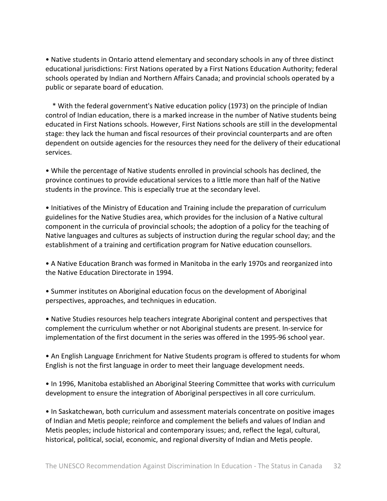• Native students in Ontario attend elementary and secondary schools in any of three distinct educational jurisdictions: First Nations operated by a First Nations Education Authority; federal schools operated by Indian and Northern Affairs Canada; and provincial schools operated by a public or separate board of education.

 \* With the federal government's Native education policy (1973) on the principle of Indian control of Indian education, there is a marked increase in the number of Native students being educated in First Nations schools. However, First Nations schools are still in the developmental stage: they lack the human and fiscal resources of their provincial counterparts and are often dependent on outside agencies for the resources they need for the delivery of their educational services.

• While the percentage of Native students enrolled in provincial schools has declined, the province continues to provide educational services to a little more than half of the Native students in the province. This is especially true at the secondary level.

• Initiatives of the Ministry of Education and Training include the preparation of curriculum guidelines for the Native Studies area, which provides for the inclusion of a Native cultural component in the curricula of provincial schools; the adoption of a policy for the teaching of Native languages and cultures as subjects of instruction during the regular school day; and the establishment of a training and certification program for Native education counsellors.

• A Native Education Branch was formed in Manitoba in the early 1970s and reorganized into the Native Education Directorate in 1994.

• Summer institutes on Aboriginal education focus on the development of Aboriginal perspectives, approaches, and techniques in education.

• Native Studies resources help teachers integrate Aboriginal content and perspectives that complement the curriculum whether or not Aboriginal students are present. In‐service for implementation of the first document in the series was offered in the 1995‐96 school year.

• An English Language Enrichment for Native Students program is offered to students for whom English is not the first language in order to meet their language development needs.

• In 1996, Manitoba established an Aboriginal Steering Committee that works with curriculum development to ensure the integration of Aboriginal perspectives in all core curriculum.

• In Saskatchewan, both curriculum and assessment materials concentrate on positive images of Indian and Metis people; reinforce and complement the beliefs and values of Indian and Metis peoples; include historical and contemporary issues; and, reflect the legal, cultural, historical, political, social, economic, and regional diversity of Indian and Metis people.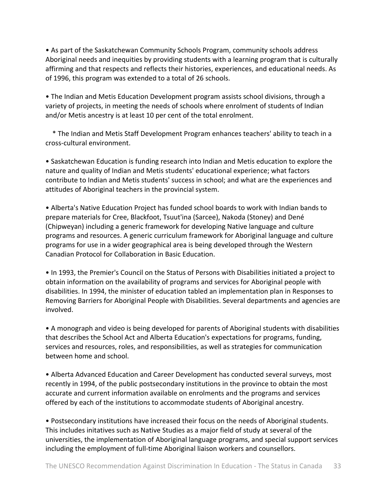• As part of the Saskatchewan Community Schools Program, community schools address Aboriginal needs and inequities by providing students with a learning program that is culturally affirming and that respects and reflects their histories, experiences, and educational needs. As of 1996, this program was extended to a total of 26 schools.

• The Indian and Metis Education Development program assists school divisions, through a variety of projects, in meeting the needs of schools where enrolment of students of Indian and/or Metis ancestry is at least 10 per cent of the total enrolment.

 \* The Indian and Metis Staff Development Program enhances teachers' ability to teach in a cross‐cultural environment.

• Saskatchewan Education is funding research into Indian and Metis education to explore the nature and quality of Indian and Metis students' educational experience; what factors contribute to Indian and Metis students' success in school; and what are the experiences and attitudes of Aboriginal teachers in the provincial system.

• Alberta's Native Education Project has funded school boards to work with Indian bands to prepare materials for Cree, Blackfoot, Tsuut'ina (Sarcee), Nakoda (Stoney) and Dené (Chipweyan) including a generic framework for developing Native language and culture programs and resources. A generic curriculum framework for Aboriginal language and culture programs for use in a wider geographical area is being developed through the Western Canadian Protocol for Collaboration in Basic Education.

• In 1993, the Premier's Council on the Status of Persons with Disabilities initiated a project to obtain information on the availability of programs and services for Aboriginal people with disabilities. In 1994, the minister of education tabled an implementation plan in Responses to Removing Barriers for Aboriginal People with Disabilities. Several departments and agencies are involved.

• A monograph and video is being developed for parents of Aboriginal students with disabilities that describes the School Act and Alberta Education's expectations for programs, funding, services and resources, roles, and responsibilities, as well as strategies for communication between home and school.

• Alberta Advanced Education and Career Development has conducted several surveys, most recently in 1994, of the public postsecondary institutions in the province to obtain the most accurate and current information available on enrolments and the programs and services offered by each of the institutions to accommodate students of Aboriginal ancestry.

• Postsecondary institutions have increased their focus on the needs of Aboriginal students. This includes initatives such as Native Studies as a major field of study at several of the universities, the implementation of Aboriginal language programs, and special support services including the employment of full-time Aboriginal liaison workers and counsellors.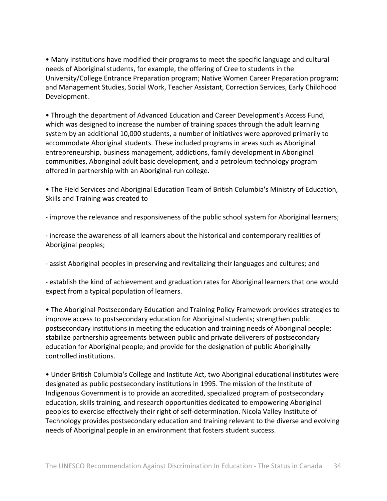• Many institutions have modified their programs to meet the specific language and cultural needs of Aboriginal students, for example, the offering of Cree to students in the University/College Entrance Preparation program; Native Women Career Preparation program; and Management Studies, Social Work, Teacher Assistant, Correction Services, Early Childhood Development.

• Through the department of Advanced Education and Career Development's Access Fund, which was designed to increase the number of training spaces through the adult learning system by an additional 10,000 students, a number of initiatives were approved primarily to accommodate Aboriginal students. These included programs in areas such as Aboriginal entrepreneurship, business management, addictions, family development in Aboriginal communities, Aboriginal adult basic development, and a petroleum technology program offered in partnership with an Aboriginal‐run college.

• The Field Services and Aboriginal Education Team of British Columbia's Ministry of Education, Skills and Training was created to

‐ improve the relevance and responsiveness of the public school system for Aboriginal learners;

‐ increase the awareness of all learners about the historical and contemporary realities of Aboriginal peoples;

‐ assist Aboriginal peoples in preserving and revitalizing their languages and cultures; and

‐ establish the kind of achievement and graduation rates for Aboriginal learners that one would expect from a typical population of learners.

• The Aboriginal Postsecondary Education and Training Policy Framework provides strategies to improve access to postsecondary education for Aboriginal students; strengthen public postsecondary institutions in meeting the education and training needs of Aboriginal people; stabilize partnership agreements between public and private deliverers of postsecondary education for Aboriginal people; and provide for the designation of public Aboriginally controlled institutions.

• Under British Columbia's College and Institute Act, two Aboriginal educational institutes were designated as public postsecondary institutions in 1995. The mission of the Institute of Indigenous Government is to provide an accredited, specialized program of postsecondary education, skills training, and research opportunities dedicated to empowering Aboriginal peoples to exercise effectively their right of self‐determination. Nicola Valley Institute of Technology provides postsecondary education and training relevant to the diverse and evolving needs of Aboriginal people in an environment that fosters student success.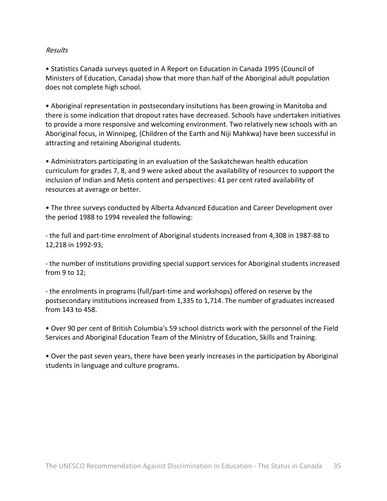#### Results

• Statistics Canada surveys quoted in A Report on Education in Canada 1995 (Council of Ministers of Education, Canada) show that more than half of the Aboriginal adult population does not complete high school.

• Aboriginal representation in postsecondary insitutions has been growing in Manitoba and there is some indication that dropout rates have decreased. Schools have undertaken initiatives to provide a more responsive and welcoming environment. Two relatively new schools with an Aboriginal focus, in Winnipeg, (Children of the Earth and Niji Mahkwa) have been successful in attracting and retaining Aboriginal students.

• Administrators participating in an evaluation of the Saskatchewan health education curriculum for grades 7, 8, and 9 were asked about the availability of resources to support the inclusion of Indian and Metis content and perspectives: 41 per cent rated availability of resources at average or better.

• The three surveys conducted by Alberta Advanced Education and Career Development over the period 1988 to 1994 revealed the following:

‐ the full and part‐time enrolment of Aboriginal students increased from 4,308 in 1987‐88 to 12,218 in 1992‐93;

‐ the number of institutions providing special support services for Aboriginal students increased from 9 to 12;

‐ the enrolments in programs (full/part‐time and workshops) offered on reserve by the postsecondary institutions increased from 1,335 to 1,714. The number of graduates increased from 143 to 458.

• Over 90 per cent of British Columbia's 59 school districts work with the personnel of the Field Services and Aboriginal Education Team of the Ministry of Education, Skills and Training.

• Over the past seven years, there have been yearly increases in the participation by Aboriginal students in language and culture programs.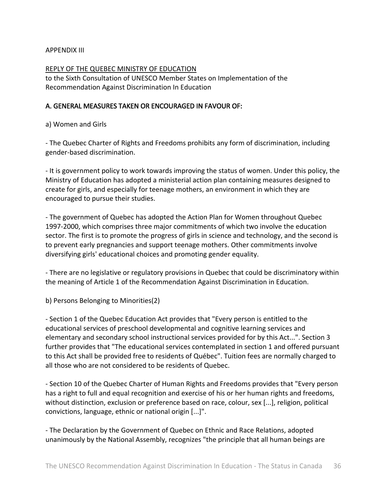## APPENDIX III

REPLY OF THE QUEBEC MINISTRY OF EDUCATION to the Sixth Consultation of UNESCO Member States on Implementation of the Recommendation Against Discrimination In Education

## A. GENERAL MEASURES TAKEN OR ENCOURAGED IN FAVOUR OF:

a) Women and Girls

‐ The Quebec Charter of Rights and Freedoms prohibits any form of discrimination, including gender‐based discrimination.

‐ It is government policy to work towards improving the status of women. Under this policy, the Ministry of Education has adopted a ministerial action plan containing measures designed to create for girls, and especially for teenage mothers, an environment in which they are encouraged to pursue their studies.

‐ The government of Quebec has adopted the Action Plan for Women throughout Quebec 1997‐2000, which comprises three major commitments of which two involve the education sector. The first is to promote the progress of girls in science and technology, and the second is to prevent early pregnancies and support teenage mothers. Other commitments involve diversifying girls' educational choices and promoting gender equality.

‐ There are no legislative or regulatory provisions in Quebec that could be discriminatory within the meaning of Article 1 of the Recommendation Against Discrimination in Education.

b) Persons Belonging to Minorities(2)

‐ Section 1 of the Quebec Education Act provides that "Every person is entitled to the educational services of preschool developmental and cognitive learning services and elementary and secondary school instructional services provided for by this Act...". Section 3 further provides that "The educational services contemplated in section 1 and offered pursuant to this Act shall be provided free to residents of Québec". Tuition fees are normally charged to all those who are not considered to be residents of Quebec.

‐ Section 10 of the Quebec Charter of Human Rights and Freedoms provides that "Every person has a right to full and equal recognition and exercise of his or her human rights and freedoms, without distinction, exclusion or preference based on race, colour, sex [...], religion, political convictions, language, ethnic or national origin [...]".

‐ The Declaration by the Government of Quebec on Ethnic and Race Relations, adopted unanimously by the National Assembly, recognizes "the principle that all human beings are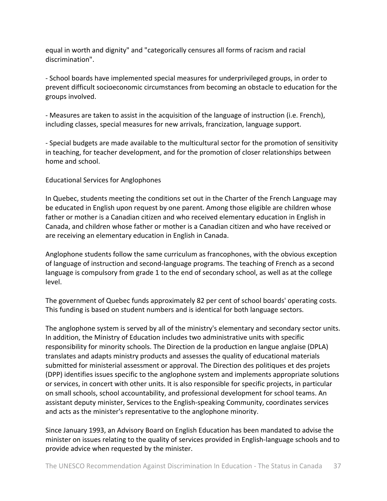equal in worth and dignity" and "categorically censures all forms of racism and racial discrimination".

‐ School boards have implemented special measures for underprivileged groups, in order to prevent difficult socioeconomic circumstances from becoming an obstacle to education for the groups involved.

‐ Measures are taken to assist in the acquisition of the language of instruction (i.e. French), including classes, special measures for new arrivals, francization, language support.

‐ Special budgets are made available to the multicultural sector for the promotion of sensitivity in teaching, for teacher development, and for the promotion of closer relationships between home and school.

Educational Services for Anglophones

In Quebec, students meeting the conditions set out in the Charter of the French Language may be educated in English upon request by one parent. Among those eligible are children whose father or mother is a Canadian citizen and who received elementary education in English in Canada, and children whose father or mother is a Canadian citizen and who have received or are receiving an elementary education in English in Canada.

Anglophone students follow the same curriculum as francophones, with the obvious exception of language of instruction and second‐language programs. The teaching of French as a second language is compulsory from grade 1 to the end of secondary school, as well as at the college level.

The government of Quebec funds approximately 82 per cent of school boards' operating costs. This funding is based on student numbers and is identical for both language sectors.

The anglophone system is served by all of the ministry's elementary and secondary sector units. In addition, the Ministry of Education includes two administrative units with specific responsibility for minority schools. The Direction de la production en langue anglaise (DPLA) translates and adapts ministry products and assesses the quality of educational materials submitted for ministerial assessment or approval. The Direction des politiques et des projets (DPP) identifies issues specific to the anglophone system and implements appropriate solutions or services, in concert with other units. It is also responsible for specific projects, in particular on small schools, school accountability, and professional development for school teams. An assistant deputy minister, Services to the English‐speaking Community, coordinates services and acts as the minister's representative to the anglophone minority.

Since January 1993, an Advisory Board on English Education has been mandated to advise the minister on issues relating to the quality of services provided in English‐language schools and to provide advice when requested by the minister.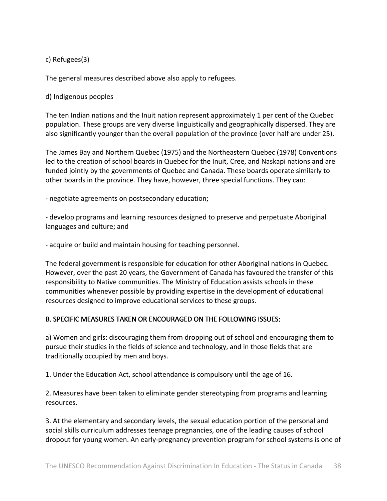c) Refugees(3)

The general measures described above also apply to refugees.

d) Indigenous peoples

The ten Indian nations and the Inuit nation represent approximately 1 per cent of the Quebec population. These groups are very diverse linguistically and geographically dispersed. They are also significantly younger than the overall population of the province (over half are under 25).

The James Bay and Northern Quebec (1975) and the Northeastern Quebec (1978) Conventions led to the creation of school boards in Quebec for the Inuit, Cree, and Naskapi nations and are funded jointly by the governments of Quebec and Canada. These boards operate similarly to other boards in the province. They have, however, three special functions. They can:

‐ negotiate agreements on postsecondary education;

‐ develop programs and learning resources designed to preserve and perpetuate Aboriginal languages and culture; and

‐ acquire or build and maintain housing for teaching personnel.

The federal government is responsible for education for other Aboriginal nations in Quebec. However, over the past 20 years, the Government of Canada has favoured the transfer of this responsibility to Native communities. The Ministry of Education assists schools in these communities whenever possible by providing expertise in the development of educational resources designed to improve educational services to these groups.

## B. SPECIFIC MEASURES TAKEN OR ENCOURAGED ON THE FOLLOWING ISSUES:

a) Women and girls: discouraging them from dropping out of school and encouraging them to pursue their studies in the fields of science and technology, and in those fields that are traditionally occupied by men and boys.

1. Under the Education Act, school attendance is compulsory until the age of 16.

2. Measures have been taken to eliminate gender stereotyping from programs and learning resources.

3. At the elementary and secondary levels, the sexual education portion of the personal and social skills curriculum addresses teenage pregnancies, one of the leading causes of school dropout for young women. An early‐pregnancy prevention program for school systems is one of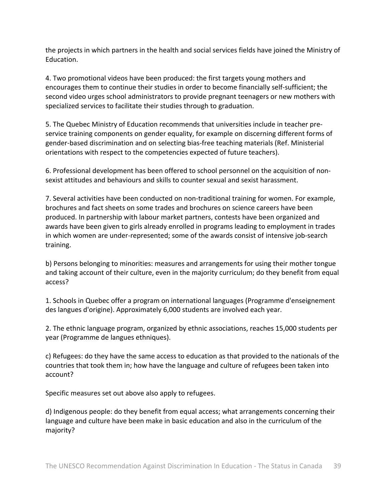the projects in which partners in the health and social services fields have joined the Ministry of Education.

4. Two promotional videos have been produced: the first targets young mothers and encourages them to continue their studies in order to become financially self‐sufficient; the second video urges school administrators to provide pregnant teenagers or new mothers with specialized services to facilitate their studies through to graduation.

5. The Quebec Ministry of Education recommends that universities include in teacher pre‐ service training components on gender equality, for example on discerning different forms of gender‐based discrimination and on selecting bias‐free teaching materials (Ref. Ministerial orientations with respect to the competencies expected of future teachers).

6. Professional development has been offered to school personnel on the acquisition of non‐ sexist attitudes and behaviours and skills to counter sexual and sexist harassment.

7. Several activities have been conducted on non-traditional training for women. For example, brochures and fact sheets on some trades and brochures on science careers have been produced. In partnership with labour market partners, contests have been organized and awards have been given to girls already enrolled in programs leading to employment in trades in which women are under‐represented; some of the awards consist of intensive job‐search training.

b) Persons belonging to minorities: measures and arrangements for using their mother tongue and taking account of their culture, even in the majority curriculum; do they benefit from equal access?

1. Schools in Quebec offer a program on international languages (Programme d'enseignement des langues d'origine). Approximately 6,000 students are involved each year.

2. The ethnic language program, organized by ethnic associations, reaches 15,000 students per year (Programme de langues ethniques).

c) Refugees: do they have the same access to education as that provided to the nationals of the countries that took them in; how have the language and culture of refugees been taken into account?

Specific measures set out above also apply to refugees.

d) Indigenous people: do they benefit from equal access; what arrangements concerning their language and culture have been make in basic education and also in the curriculum of the majority?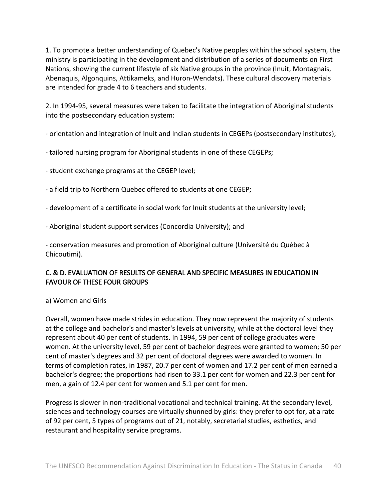1. To promote a better understanding of Quebec's Native peoples within the school system, the ministry is participating in the development and distribution of a series of documents on First Nations, showing the current lifestyle of six Native groups in the province (Inuit, Montagnais, Abenaquis, Algonquins, Attikameks, and Huron‐Wendats). These cultural discovery materials are intended for grade 4 to 6 teachers and students.

2. In 1994‐95, several measures were taken to facilitate the integration of Aboriginal students into the postsecondary education system:

‐ orientation and integration of Inuit and Indian students in CEGEPs (postsecondary institutes);

- ‐ tailored nursing program for Aboriginal students in one of these CEGEPs;
- ‐ student exchange programs at the CEGEP level;
- ‐ a field trip to Northern Quebec offered to students at one CEGEP;
- ‐ development of a certificate in social work for Inuit students at the university level;
- ‐ Aboriginal student support services (Concordia University); and

‐ conservation measures and promotion of Aboriginal culture (Université du Québec à Chicoutimi).

## C. & D. EVALUATION OF RESULTS OF GENERAL AND SPECIFIC MEASURES IN EDUCATION IN FAVOUR OF THESE FOUR GROUPS

## a) Women and Girls

Overall, women have made strides in education. They now represent the majority of students at the college and bachelor's and master's levels at university, while at the doctoral level they represent about 40 per cent of students. In 1994, 59 per cent of college graduates were women. At the university level, 59 per cent of bachelor degrees were granted to women; 50 per cent of master's degrees and 32 per cent of doctoral degrees were awarded to women. In terms of completion rates, in 1987, 20.7 per cent of women and 17.2 per cent of men earned a bachelor's degree; the proportions had risen to 33.1 per cent for women and 22.3 per cent for men, a gain of 12.4 per cent for women and 5.1 per cent for men.

Progress is slower in non‐traditional vocational and technical training. At the secondary level, sciences and technology courses are virtually shunned by girls: they prefer to opt for, at a rate of 92 per cent, 5 types of programs out of 21, notably, secretarial studies, esthetics, and restaurant and hospitality service programs.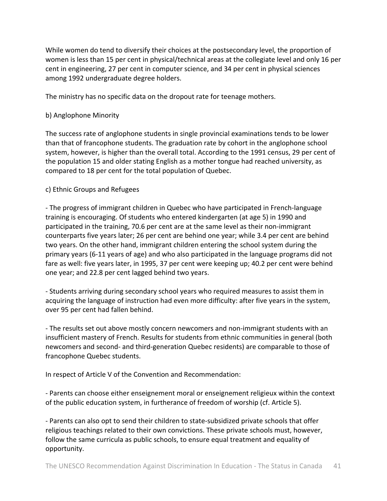While women do tend to diversify their choices at the postsecondary level, the proportion of women is less than 15 per cent in physical/technical areas at the collegiate level and only 16 per cent in engineering, 27 per cent in computer science, and 34 per cent in physical sciences among 1992 undergraduate degree holders.

The ministry has no specific data on the dropout rate for teenage mothers.

## b) Anglophone Minority

The success rate of anglophone students in single provincial examinations tends to be lower than that of francophone students. The graduation rate by cohort in the anglophone school system, however, is higher than the overall total. According to the 1991 census, 29 per cent of the population 15 and older stating English as a mother tongue had reached university, as compared to 18 per cent for the total population of Quebec.

## c) Ethnic Groups and Refugees

‐ The progress of immigrant children in Quebec who have participated in French‐language training is encouraging. Of students who entered kindergarten (at age 5) in 1990 and participated in the training, 70.6 per cent are at the same level as their non‐immigrant counterparts five years later; 26 per cent are behind one year; while 3.4 per cent are behind two years. On the other hand, immigrant children entering the school system during the primary years (6‐11 years of age) and who also participated in the language programs did not fare as well: five years later, in 1995, 37 per cent were keeping up; 40.2 per cent were behind one year; and 22.8 per cent lagged behind two years.

‐ Students arriving during secondary school years who required measures to assist them in acquiring the language of instruction had even more difficulty: after five years in the system, over 95 per cent had fallen behind.

‐ The results set out above mostly concern newcomers and non‐immigrant students with an insufficient mastery of French. Results for students from ethnic communities in general (both newcomers and second‐ and third‐generation Quebec residents) are comparable to those of francophone Quebec students.

In respect of Article V of the Convention and Recommendation:

‐ Parents can choose either enseignement moral or enseignement religieux within the context of the public education system, in furtherance of freedom of worship (cf. Article 5).

‐ Parents can also opt to send their children to state‐subsidized private schools that offer religious teachings related to their own convictions. These private schools must, however, follow the same curricula as public schools, to ensure equal treatment and equality of opportunity.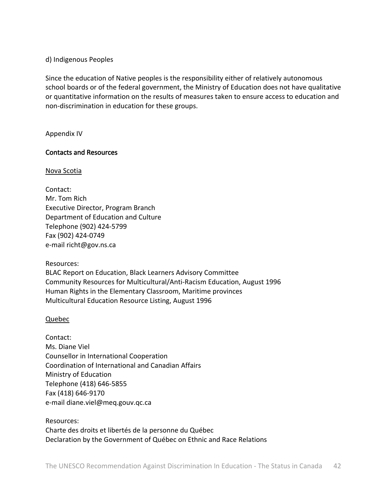d) Indigenous Peoples

Since the education of Native peoples is the responsibility either of relatively autonomous school boards or of the federal government, the Ministry of Education does not have qualitative or quantitative information on the results of measures taken to ensure access to education and non‐discrimination in education for these groups.

Appendix IV

## Contacts and Resources

Nova Scotia

Contact: Mr. Tom Rich Executive Director, Program Branch Department of Education and Culture Telephone (902) 424‐5799 Fax (902) 424‐0749 e‐mail richt@gov.ns.ca

Resources:

BLAC Report on Education, Black Learners Advisory Committee Community Resources for Multicultural/Anti‐Racism Education, August 1996 Human Rights in the Elementary Classroom, Maritime provinces Multicultural Education Resource Listing, August 1996

Quebec

Contact: Ms. Diane Viel Counsellor in International Cooperation Coordination of International and Canadian Affairs Ministry of Education Telephone (418) 646‐5855 Fax (418) 646‐9170 e‐mail diane.viel@meq.gouv.qc.ca

Resources: Charte des droits et libertés de la personne du Québec Declaration by the Government of Québec on Ethnic and Race Relations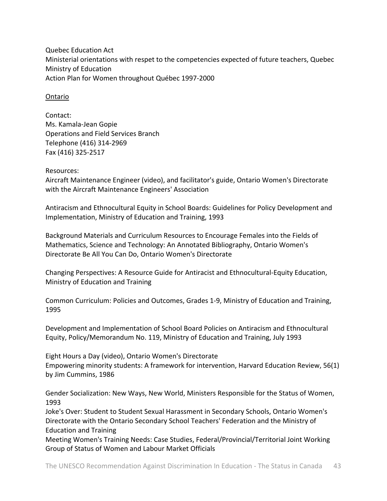Quebec Education Act Ministerial orientations with respet to the competencies expected of future teachers, Quebec Ministry of Education Action Plan for Women throughout Québec 1997‐2000

#### Ontario

Contact: Ms. Kamala‐Jean Gopie Operations and Field Services Branch Telephone (416) 314‐2969 Fax (416) 325‐2517

Resources:

Aircraft Maintenance Engineer (video), and facilitator's guide, Ontario Women's Directorate with the Aircraft Maintenance Engineers' Association

Antiracism and Ethnocultural Equity in School Boards: Guidelines for Policy Development and Implementation, Ministry of Education and Training, 1993

Background Materials and Curriculum Resources to Encourage Females into the Fields of Mathematics, Science and Technology: An Annotated Bibliography, Ontario Women's Directorate Be All You Can Do, Ontario Women's Directorate

Changing Perspectives: A Resource Guide for Antiracist and Ethnocultural‐Equity Education, Ministry of Education and Training

Common Curriculum: Policies and Outcomes, Grades 1‐9, Ministry of Education and Training, 1995

Development and Implementation of School Board Policies on Antiracism and Ethnocultural Equity, Policy/Memorandum No. 119, Ministry of Education and Training, July 1993

Eight Hours a Day (video), Ontario Women's Directorate Empowering minority students: A framework for intervention, Harvard Education Review, 56(1) by Jim Cummins, 1986

Gender Socialization: New Ways, New World, Ministers Responsible for the Status of Women, 1993

Joke's Over: Student to Student Sexual Harassment in Secondary Schools, Ontario Women's Directorate with the Ontario Secondary School Teachers' Federation and the Ministry of Education and Training

Meeting Women's Training Needs: Case Studies, Federal/Provincial/Territorial Joint Working Group of Status of Women and Labour Market Officials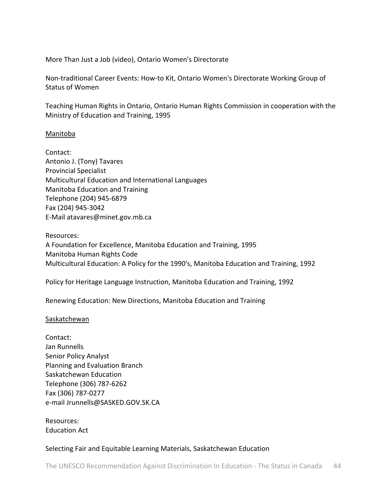More Than Just a Job (video), Ontario Women's Directorate

Non‐traditional Career Events: How‐to Kit, Ontario Women's Directorate Working Group of Status of Women

Teaching Human Rights in Ontario, Ontario Human Rights Commission in cooperation with the Ministry of Education and Training, 1995

#### Manitoba

Contact: Antonio J. (Tony) Tavares Provincial Specialist Multicultural Education and International Languages Manitoba Education and Training Telephone (204) 945‐6879 Fax (204) 945‐3042 E‐Mail atavares@minet.gov.mb.ca

Resources: A Foundation for Excellence, Manitoba Education and Training, 1995 Manitoba Human Rights Code Multicultural Education: A Policy for the 1990's, Manitoba Education and Training, 1992

Policy for Heritage Language Instruction, Manitoba Education and Training, 1992

Renewing Education: New Directions, Manitoba Education and Training

#### Saskatchewan

Contact: Jan Runnells Senior Policy Analyst Planning and Evaluation Branch Saskatchewan Education Telephone (306) 787‐6262 Fax (306) 787‐0277 e‐mail Jrunnells@SASKED.GOV.SK.CA

Resources: Education Act

#### Selecting Fair and Equitable Learning Materials, Saskatchewan Education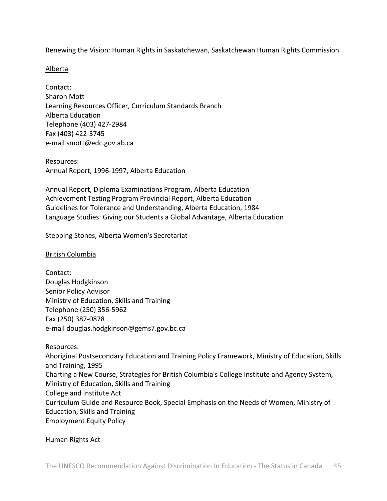Renewing the Vision: Human Rights in Saskatchewan, Saskatchewan Human Rights Commission

#### Alberta

Contact: Sharon Mott Learning Resources Officer, Curriculum Standards Branch Alberta Education Telephone (403) 427‐2984 Fax (403) 422‐3745 e‐mail smott@edc.gov.ab.ca

Resources: Annual Report, 1996‐1997, Alberta Education

Annual Report, Diploma Examinations Program, Alberta Education Achievement Testing Program Provincial Report, Alberta Education Guidelines for Tolerance and Understanding, Alberta Education, 1984 Language Studies: Giving our Students a Global Advantage, Alberta Education

Stepping Stones, Alberta Women's Secretariat

British Columbia

Contact: Douglas Hodgkinson Senior Policy Advisor Ministry of Education, Skills and Training Telephone (250) 356‐5962 Fax (250) 387‐0878 e‐mail douglas.hodgkinson@gems7.gov.bc.ca

Resources: Aboriginal Postsecondary Education and Training Policy Framework, Ministry of Education, Skills and Training, 1995 Charting a New Course, Strategies for British Columbia's College Institute and Agency System, Ministry of Education, Skills and Training College and Institute Act Curriculum Guide and Resource Book, Special Emphasis on the Needs of Women, Ministry of Education, Skills and Training Employment Equity Policy

Human Rights Act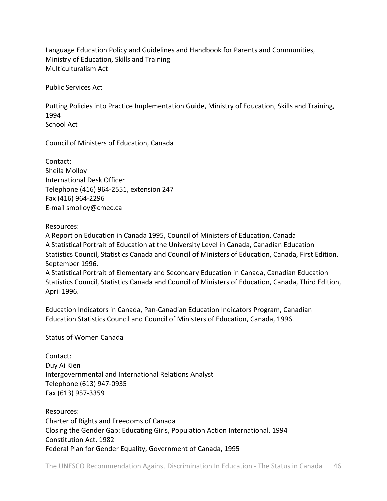Language Education Policy and Guidelines and Handbook for Parents and Communities, Ministry of Education, Skills and Training Multiculturalism Act

Public Services Act

Putting Policies into Practice Implementation Guide, Ministry of Education, Skills and Training, 1994 School Act

Council of Ministers of Education, Canada

Contact: Sheila Molloy International Desk Officer Telephone (416) 964‐2551, extension 247 Fax (416) 964‐2296 E‐mail smolloy@cmec.ca

Resources:

A Report on Education in Canada 1995, Council of Ministers of Education, Canada A Statistical Portrait of Education at the University Level in Canada, Canadian Education Statistics Council, Statistics Canada and Council of Ministers of Education, Canada, First Edition, September 1996.

A Statistical Portrait of Elementary and Secondary Education in Canada, Canadian Education Statistics Council, Statistics Canada and Council of Ministers of Education, Canada, Third Edition, April 1996.

Education Indicators in Canada, Pan‐Canadian Education Indicators Program, Canadian Education Statistics Council and Council of Ministers of Education, Canada, 1996.

#### Status of Women Canada

Contact: Duy Ai Kien Intergovernmental and International Relations Analyst Telephone (613) 947‐0935 Fax (613) 957‐3359

Resources: Charter of Rights and Freedoms of Canada Closing the Gender Gap: Educating Girls, Population Action International, 1994 Constitution Act, 1982 Federal Plan for Gender Equality, Government of Canada, 1995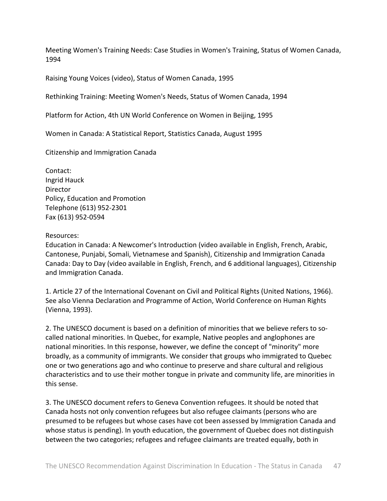Meeting Women's Training Needs: Case Studies in Women's Training, Status of Women Canada, 1994

Raising Young Voices (video), Status of Women Canada, 1995

Rethinking Training: Meeting Women's Needs, Status of Women Canada, 1994

Platform for Action, 4th UN World Conference on Women in Beijing, 1995

Women in Canada: A Statistical Report, Statistics Canada, August 1995

Citizenship and Immigration Canada

Contact: Ingrid Hauck **Director** Policy, Education and Promotion Telephone (613) 952‐2301 Fax (613) 952‐0594

#### Resources:

Education in Canada: A Newcomer's Introduction (video available in English, French, Arabic, Cantonese, Punjabi, Somali, Vietnamese and Spanish), Citizenship and Immigration Canada Canada: Day to Day (video available in English, French, and 6 additional languages), Citizenship and Immigration Canada.

1. Article 27 of the International Covenant on Civil and Political Rights (United Nations, 1966). See also Vienna Declaration and Programme of Action, World Conference on Human Rights (Vienna, 1993).

2. The UNESCO document is based on a definition of minorities that we believe refers to so‐ called national minorities. In Quebec, for example, Native peoples and anglophones are national minorities. In this response, however, we define the concept of "minority" more broadly, as a community of immigrants. We consider that groups who immigrated to Quebec one or two generations ago and who continue to preserve and share cultural and religious characteristics and to use their mother tongue in private and community life, are minorities in this sense.

3. The UNESCO document refers to Geneva Convention refugees. It should be noted that Canada hosts not only convention refugees but also refugee claimants (persons who are presumed to be refugees but whose cases have cot been assessed by Immigration Canada and whose status is pending). In youth education, the government of Quebec does not distinguish between the two categories; refugees and refugee claimants are treated equally, both in